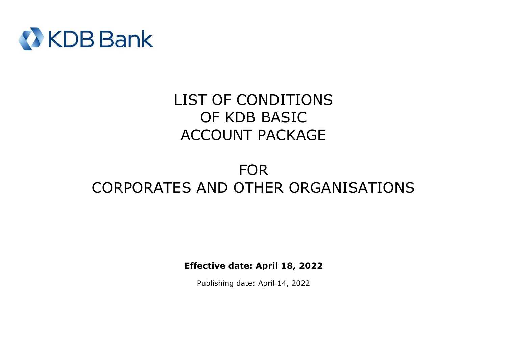

# LIST OF CONDITIONS OF KDB BASIC ACCOUNT PACKAGE

# FOR CORPORATES AND OTHER ORGANISATIONS

**Effective date: April 18, 2022**

Publishing date: April 14, 2022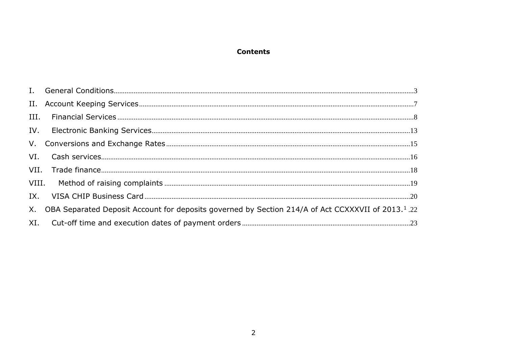## **Contents**

| IX. |                                                                                                                   |  |
|-----|-------------------------------------------------------------------------------------------------------------------|--|
|     | X. OBA Separated Deposit Account for deposits governed by Section 214/A of Act CCXXXVII of 2013. <sup>1</sup> .22 |  |
|     |                                                                                                                   |  |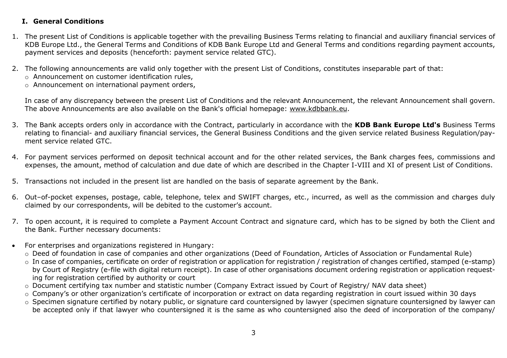## <span id="page-2-0"></span>**I. General Conditions**

- 1. The present List of Conditions is applicable together with the prevailing Business Terms relating to financial and auxiliary financial services of KDB Europe Ltd., the General Terms and Conditions of KDB Bank Europe Ltd and General Terms and conditions regarding payment accounts, payment services and deposits (henceforth: payment service related GTC).
- 2. The following announcements are valid only together with the present List of Conditions, constitutes inseparable part of that:
	- o Announcement on customer identification rules,
	- o Announcement on international payment orders,

In case of any discrepancy between the present List of Conditions and the relevant Announcement, the relevant Announcement shall govern. The above Announcements are also available on the Bank's official homepage: [www.kdbbank.eu.](http://www.kdbbank.eu/)

- 3. The Bank accepts orders only in accordance with the Contract, particularly in accordance with the **KDB Bank Europe Ltd's** Business Terms relating to financial- and auxiliary financial services, the General Business Conditions and the given service related Business Regulation/payment service related GTC.
- 4. For payment services performed on deposit technical account and for the other related services, the Bank charges fees, commissions and expenses, the amount, method of calculation and due date of which are described in the Chapter I-VIII and XI of present List of Conditions.
- 5. Transactions not included in the present list are handled on the basis of separate agreement by the Bank.
- 6. Out–of-pocket expenses, postage, cable, telephone, telex and SWIFT charges, etc., incurred, as well as the commission and charges duly claimed by our correspondents, will be debited to the customer's account.
- 7. To open account, it is required to complete a Payment Account Contract and signature card, which has to be signed by both the Client and the Bank. Further necessary documents:
- For enterprises and organizations registered in Hungary:
	- o Deed of foundation in case of companies and other organizations (Deed of Foundation, Articles of Association or Fundamental Rule)
	- o In case of companies, certificate on order of registration or application for registration / registration of changes certified, stamped (e-stamp) by Court of Registry (e-file with digital return receipt). In case of other organisations document ordering registration or application requesting for registration certified by authority or court
	- o Document certifying tax number and statistic number (Company Extract issued by Court of Registry/ NAV data sheet)
	- o Company's or other organization's certificate of incorporation or extract on data regarding registration in court issued within 30 days
	- o Specimen signature certified by notary public, or signature card countersigned by lawyer (specimen signature countersigned by lawyer can be accepted only if that lawyer who countersigned it is the same as who countersigned also the deed of incorporation of the company/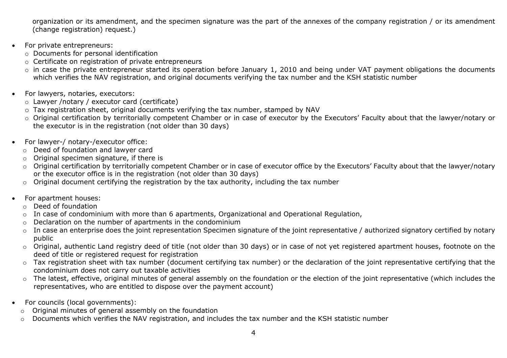organization or its amendment, and the specimen signature was the part of the annexes of the company registration / or its amendment (change registration) request.)

- For private entrepreneurs:
	- o Documents for personal identification
	- o Certificate on registration of private entrepreneurs
	- o in case the private entrepreneur started its operation before January 1, 2010 and being under VAT payment obligations the documents which verifies the NAV registration, and original documents verifying the tax number and the KSH statistic number
- For lawyers, notaries, executors:
	- o Lawyer /notary / executor card (certificate)
	- o Tax registration sheet, original documents verifying the tax number, stamped by NAV
	- o Original certification by territorially competent Chamber or in case of executor by the Executors' Faculty about that the lawyer/notary or the executor is in the registration (not older than 30 days)
- For lawyer-/ notary-/executor office:
	- o Deed of foundation and lawyer card
	- o Original specimen signature, if there is
	- o Original certification by territorially competent Chamber or in case of executor office by the Executors' Faculty about that the lawyer/notary or the executor office is in the registration (not older than 30 days)
	- o Original document certifying the registration by the tax authority, including the tax number
- For apartment houses:
	- o Deed of foundation
	- o In case of condominium with more than 6 apartments, Organizational and Operational Regulation,
	- $\circ$  Declaration on the number of apartments in the condominium
	- o In case an enterprise does the joint representation Specimen signature of the joint representative / authorized signatory certified by notary public
	- o Original, authentic Land registry deed of title (not older than 30 days) or in case of not yet registered apartment houses, footnote on the deed of title or registered request for registration
	- o Tax registration sheet with tax number (document certifying tax number) or the declaration of the joint representative certifying that the condominium does not carry out taxable activities
	- o The latest, effective, original minutes of general assembly on the foundation or the election of the joint representative (which includes the representatives, who are entitled to dispose over the payment account)
- For councils (local governments):
	- o Original minutes of general assembly on the foundation
	- o Documents which verifies the NAV registration, and includes the tax number and the KSH statistic number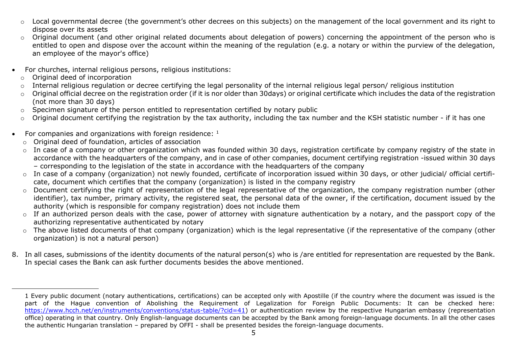- Local governmental decree (the government's other decrees on this subjects) on the management of the local government and its right to dispose over its assets
- $\circ$  Original document (and other original related documents about delegation of powers) concerning the appointment of the person who is entitled to open and dispose over the account within the meaning of the regulation (e.g. a notary or within the purview of the delegation, an employee of the mayor's office)
- For churches, internal religious persons, religious institutions:
	- o Original deed of incorporation
	- o Internal religious regulation or decree certifying the legal personality of the internal religious legal person/ religious institution
	- o Original official decree on the registration order (if it is nor older than 30days) or original certificate which includes the data of the registration (not more than 30 days)
	- o Specimen signature of the person entitled to representation certified by notary public
	- o Original document certifying the registration by the tax authority, including the tax number and the KSH statistic number if it has one
- For companies and organizations with foreign residence:  $1$ 
	- o Original deed of foundation, articles of association
	- o In case of a company or other organization which was founded within 30 days, registration certificate by company registry of the state in accordance with the headquarters of the company, and in case of other companies, document certifying registration -issued within 30 days – corresponding to the legislation of the state in accordance with the headquarters of the company
	- o In case of a company (organization) not newly founded, certificate of incorporation issued within 30 days, or other judicial/ official certificate, document which certifies that the company (organization) is listed in the company registry
	- o Document certifying the right of representation of the legal representative of the organization, the company registration number (other identifier), tax number, primary activity, the registered seat, the personal data of the owner, if the certification, document issued by the authority (which is responsible for company registration) does not include them
	- $\circ$  If an authorized person deals with the case, power of attorney with signature authentication by a notary, and the passport copy of the authorizing representative authenticated by notary
	- o The above listed documents of that company (organization) which is the legal representative (if the representative of the company (other organization) is not a natural person)
- 8. In all cases, submissions of the identity documents of the natural person(s) who is /are entitled for representation are requested by the Bank. In special cases the Bank can ask further documents besides the above mentioned.

<sup>1</sup> Every public document (notary authentications, certifications) can be accepted only with Apostille (if the country where the document was issued is the part of the Hague convention of Abolishing the Requirement of Legalization for Foreign Public Documents: It can be checked here: [https://www.hcch.net/en/instruments/conventions/status-table/?cid=41\)](https://www.hcch.net/en/instruments/conventions/status-table/?cid=41) or authentication review by the respective Hungarian embassy (representation office) operating in that country. Only English-language documents can be accepted by the Bank among foreign-language documents. In all the other cases the authentic Hungarian translation – prepared by OFFI - shall be presented besides the foreign-language documents.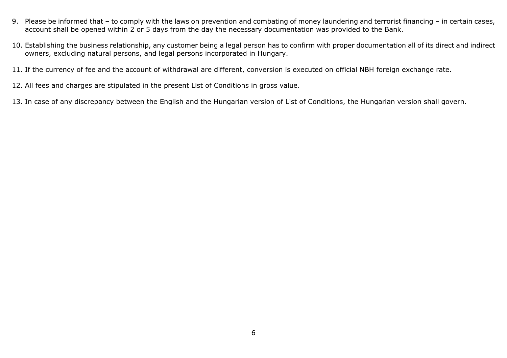- 9. Please be informed that to comply with the laws on prevention and combating of money laundering and terrorist financing in certain cases, account shall be opened within 2 or 5 days from the day the necessary documentation was provided to the Bank.
- 10. Establishing the business relationship, any customer being a legal person has to confirm with proper documentation all of its direct and indirect owners, excluding natural persons, and legal persons incorporated in Hungary.
- 11. If the currency of fee and the account of withdrawal are different, conversion is executed on official NBH foreign exchange rate.
- 12. All fees and charges are stipulated in the present List of Conditions in gross value.
- 13. In case of any discrepancy between the English and the Hungarian version of List of Conditions, the Hungarian version shall govern.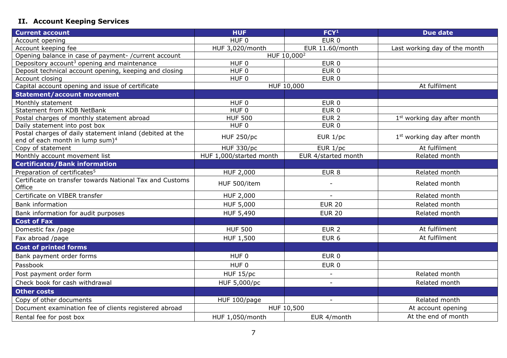## <span id="page-6-0"></span>**II. Account Keeping Services**

| <b>Current account</b>                                                                                  | <b>HUF</b>              | FCY <sup>1</sup>         | <b>Due date</b>                         |
|---------------------------------------------------------------------------------------------------------|-------------------------|--------------------------|-----------------------------------------|
| Account opening                                                                                         | HUF <sub>0</sub>        | EUR <sub>0</sub>         |                                         |
| Account keeping fee                                                                                     | HUF 3,020/month         | EUR 11.60/month          | Last working day of the month           |
| Opening balance in case of payment-/current account                                                     |                         | HUF 10,000 <sup>2</sup>  |                                         |
| Depository account <sup>3</sup> opening and maintenance                                                 | HUF <sub>0</sub>        | EUR <sub>0</sub>         |                                         |
| Deposit technical account opening, keeping and closing                                                  | $HUF$ <sub>0</sub>      | $EUR$ <sub>0</sub>       |                                         |
| Account closing                                                                                         | HUF <sub>0</sub>        | EUR <sub>0</sub>         |                                         |
| Capital account opening and issue of certificate                                                        |                         | HUF 10,000               | At fulfilment                           |
| <b>Statement/account movement</b>                                                                       |                         |                          |                                         |
| Monthly statement                                                                                       | HUF 0                   | EUR 0                    |                                         |
| Statement from KDB NetBank                                                                              | HUF <sub>0</sub>        | EUR <sub>0</sub>         |                                         |
| Postal charges of monthly statement abroad                                                              | <b>HUF 500</b>          | EUR <sub>2</sub>         | 1 <sup>st</sup> working day after month |
| Daily statement into post box                                                                           | HUF <sub>0</sub>        | EUR <sub>0</sub>         |                                         |
| Postal charges of daily statement inland (debited at the<br>end of each month in lump sum) <sup>4</sup> | <b>HUF 250/pc</b>       | EUR $1/pc$               | 1 <sup>st</sup> working day after month |
| Copy of statement                                                                                       | <b>HUF 330/pc</b>       | EUR $1/pc$               | At fulfilment                           |
| Monthly account movement list                                                                           | HUF 1,000/started month | EUR 4/started month      | Related month                           |
| <b>Certificates/Bank information</b>                                                                    |                         |                          |                                         |
| Preparation of certificates <sup>5</sup>                                                                | <b>HUF 2,000</b>        | EUR <sub>8</sub>         | Related month                           |
| Certificate on transfer towards National Tax and Customs<br>Office                                      | HUF 500/item            |                          | Related month                           |
| Certificate on VIBER transfer                                                                           | <b>HUF 2,000</b>        |                          | Related month                           |
| <b>Bank information</b>                                                                                 | HUF 5,000               | <b>EUR 20</b>            | Related month                           |
| Bank information for audit purposes                                                                     | HUF 5,490               | <b>EUR 20</b>            | Related month                           |
| <b>Cost of Fax</b>                                                                                      |                         |                          |                                         |
| Domestic fax /page                                                                                      | <b>HUF 500</b>          | EUR <sub>2</sub>         | At fulfilment                           |
| Fax abroad /page                                                                                        | HUF 1,500               | EUR <sub>6</sub>         | At fulfilment                           |
| <b>Cost of printed forms</b>                                                                            |                         |                          |                                         |
| Bank payment order forms                                                                                | HUF 0                   | EUR <sub>0</sub>         |                                         |
| Passbook                                                                                                | HUF 0                   | EUR <sub>0</sub>         |                                         |
| Post payment order form                                                                                 | <b>HUF 15/pc</b>        | $\overline{\phantom{a}}$ | Related month                           |
| Check book for cash withdrawal                                                                          | HUF 5,000/pc            | $\mathbf{r}$             | Related month                           |
| <b>Other costs</b>                                                                                      |                         |                          |                                         |
| Copy of other documents                                                                                 | HUF 100/page            | $\overline{\phantom{a}}$ | Related month                           |
| Document examination fee of clients registered abroad                                                   |                         | HUF 10,500               | At account opening                      |
| Rental fee for post box                                                                                 | HUF 1,050/month         | EUR 4/month              | At the end of month                     |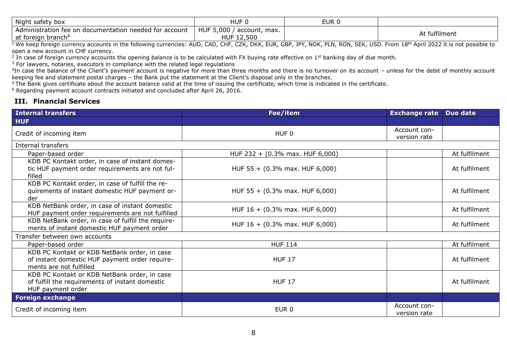| Night safety box                                            | HUF.                                       | EUR 0 |               |
|-------------------------------------------------------------|--------------------------------------------|-------|---------------|
| Administration fee on<br>n documentation needed for account | HUF 5,000<br>' account, max.<br>HUF 12,500 |       | At fulfilment |
| at foreign branch <sup>®</sup>                              |                                            |       |               |

 $^{\rm 1}$  We keep foreign currency accounts in the following currencies: AUD, CAD, CHF, CZK, DKK, EUR, GBP, JPY, NOK, PLN, RON, SEK, USD. From  $18^{\rm th}$  April 2022 it is not possible to open a new account in CHF currency.

<sup>2</sup> In case of foreign currency accounts the opening balance is to be calculated with FX buying rate effective on 1<sup>st</sup> banking day of due month.

<sup>3</sup> For lawyers, notaries, executors in compliance with the related legal regulations

 $4$ In case the balance of the Client's payment account is negative for more than three months and there is no turnover on its account – unless for the debit of monthly account keeping fee and statement postal charges – the Bank put the statement at the Client's disposal only in the branches.

 $5$ The Bank gives certificate about the account balance valid at the time of issuing the certificate, which time is indicated in the certificate.

<sup>6</sup> Regarding payment account contracts initiated and concluded after April 26, 2016.

### <span id="page-7-0"></span>**III. Financial Services**

| <b>Internal transfers</b>                                                                                                 | Fee/item                                   | <b>Exchange rate</b>         | Due date      |
|---------------------------------------------------------------------------------------------------------------------------|--------------------------------------------|------------------------------|---------------|
| <b>HUF</b>                                                                                                                |                                            |                              |               |
| Credit of incoming item                                                                                                   | HUF <sub>0</sub>                           | Account con-<br>version rate |               |
| Internal transfers                                                                                                        |                                            |                              |               |
| Paper-based order                                                                                                         | HUF 232 + (0.3% max. HUF 6,000)            |                              | At fulfilment |
| KDB PC Kontakt order, in case of instant domes-<br>tic HUF payment order requirements are not ful-<br>filled              | HUF 55 + $(0.3\%$ max. HUF 6,000)          |                              | At fulfilment |
| KDB PC Kontakt order, in case of fulfill the re-<br>quirements of instant domestic HUF payment or-<br>der                 | HUF 55 + $(0.3\%$ max. HUF 6,000)          |                              | At fulfilment |
| KDB NetBank order, in case of instant domestic<br>HUF payment order requirements are not fulfilled                        | HUF $16 + (0.3\% \text{ max. HUF } 6,000)$ |                              | At fulfilment |
| KDB NetBank order, in case of fulfill the require-<br>ments of instant domestic HUF payment order                         | HUF 16 + (0.3% max. HUF 6,000)             |                              | At fulfilment |
| Transfer between own accounts                                                                                             |                                            |                              |               |
| Paper-based order                                                                                                         | <b>HUF 114</b>                             |                              | At fulfilment |
| KDB PC Kontakt or KDB NetBank order, in case<br>of instant domestic HUF payment order require-<br>ments are not fulfilled | <b>HUF 17</b>                              |                              | At fulfilment |
| KDB PC Kontakt or KDB NetBank order, in case<br>of fulfill the requirements of instant domestic<br>HUF payment order      | <b>HUF 17</b>                              |                              | At fulfilment |
| <b>Foreign exchange</b>                                                                                                   |                                            |                              |               |
| Credit of incoming item                                                                                                   | EUR <sub>0</sub>                           | Account con-<br>version rate |               |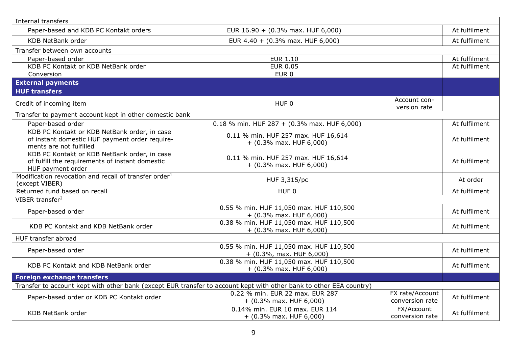| Internal transfers                                                                                                        |                                                                                                                     |                                    |               |
|---------------------------------------------------------------------------------------------------------------------------|---------------------------------------------------------------------------------------------------------------------|------------------------------------|---------------|
| Paper-based and KDB PC Kontakt orders                                                                                     | EUR 16.90 + (0.3% max. HUF 6,000)                                                                                   |                                    | At fulfilment |
| <b>KDB NetBank order</b>                                                                                                  | EUR 4.40 + (0.3% max. HUF 6,000)                                                                                    |                                    | At fulfilment |
| Transfer between own accounts                                                                                             |                                                                                                                     |                                    |               |
| Paper-based order                                                                                                         | <b>EUR 1.10</b>                                                                                                     |                                    | At fulfilment |
| KDB PC Kontakt or KDB NetBank order                                                                                       | <b>EUR 0.05</b>                                                                                                     |                                    | At fulfilment |
| Conversion                                                                                                                | EUR <sub>0</sub>                                                                                                    |                                    |               |
| <b>External payments</b>                                                                                                  |                                                                                                                     |                                    |               |
| <b>HUF transfers</b>                                                                                                      |                                                                                                                     |                                    |               |
| Credit of incoming item                                                                                                   | HUF <sub>0</sub>                                                                                                    | Account con-<br>version rate       |               |
| Transfer to payment account kept in other domestic bank                                                                   |                                                                                                                     |                                    |               |
| Paper-based order                                                                                                         | 0.18 % min. HUF 287 + (0.3% max. HUF 6,000)                                                                         |                                    | At fulfilment |
| KDB PC Kontakt or KDB NetBank order, in case<br>of instant domestic HUF payment order require-<br>ments are not fulfilled | 0.11 % min. HUF 257 max. HUF 16,614<br>$+$ (0.3% max. HUF 6,000)                                                    |                                    | At fulfilment |
| KDB PC Kontakt or KDB NetBank order, in case<br>of fulfill the requirements of instant domestic<br>HUF payment order      | 0.11 % min. HUF 257 max. HUF 16,614<br>$+$ (0.3% max. HUF 6,000)                                                    |                                    | At fulfilment |
| Modification revocation and recall of transfer order <sup>1</sup><br>(except VIBER)                                       | HUF 3,315/pc                                                                                                        |                                    | At order      |
| Returned fund based on recall                                                                                             | HUF <sub>0</sub>                                                                                                    |                                    | At fulfilment |
| VIBER transfer <sup>2</sup>                                                                                               |                                                                                                                     |                                    |               |
| Paper-based order                                                                                                         | 0.55 % min. HUF 11,050 max. HUF 110,500<br>$+$ (0.3% max. HUF 6,000)                                                |                                    | At fulfilment |
| KDB PC Kontakt and KDB NetBank order                                                                                      | 0.38 % min. HUF 11,050 max. HUF 110,500<br>$+$ (0.3% max. HUF 6,000)                                                |                                    | At fulfilment |
| HUF transfer abroad                                                                                                       |                                                                                                                     |                                    |               |
| Paper-based order                                                                                                         | 0.55 % min. HUF 11,050 max. HUF 110,500<br>$+$ (0.3%, max. HUF 6,000)                                               |                                    | At fulfilment |
| KDB PC Kontakt and KDB NetBank order                                                                                      | 0.38 % min. HUF 11,050 max. HUF 110,500<br>$+$ (0.3% max. HUF 6,000)                                                |                                    | At fulfilment |
| <b>Foreign exchange transfers</b>                                                                                         |                                                                                                                     |                                    |               |
|                                                                                                                           | Transfer to account kept with other bank (except EUR transfer to account kept with other bank to other EEA country) |                                    |               |
| Paper-based order or KDB PC Kontakt order                                                                                 | 0.22 % min. EUR 22 max. EUR 287<br>$+$ (0.3% max. HUF 6,000)                                                        | FX rate/Account<br>conversion rate | At fulfilment |
| KDB NetBank order                                                                                                         | 0.14% min. EUR 10 max. EUR 114<br>$+$ (0.3% max. HUF 6,000)                                                         | FX/Account<br>conversion rate      | At fulfilment |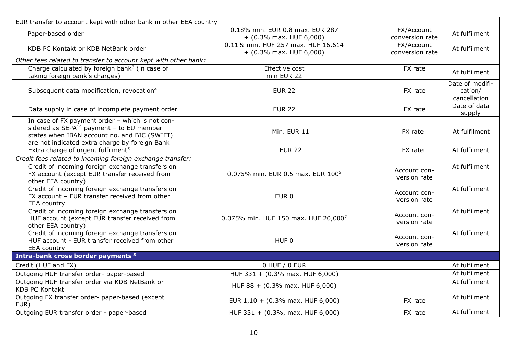| EUR transfer to account kept with other bank in other EEA country                                                                                                                               |                                                                 |                               |                                            |
|-------------------------------------------------------------------------------------------------------------------------------------------------------------------------------------------------|-----------------------------------------------------------------|-------------------------------|--------------------------------------------|
| Paper-based order                                                                                                                                                                               | 0.18% min. EUR 0.8 max. EUR 287<br>$+$ (0.3% max. HUF 6,000)    | FX/Account<br>conversion rate | At fulfilment                              |
| KDB PC Kontakt or KDB NetBank order                                                                                                                                                             | 0.11% min. HUF 257 max. HUF 16,614<br>$+$ (0.3% max. HUF 6,000) | FX/Account<br>conversion rate | At fulfilment                              |
| Other fees related to transfer to account kept with other bank:                                                                                                                                 |                                                                 |                               |                                            |
| Charge calculated by foreign bank <sup>3</sup> (in case of<br>taking foreign bank's charges)                                                                                                    | <b>Effective cost</b><br>min EUR 22                             | FX rate                       | At fulfilment                              |
| Subsequent data modification, revocation <sup>4</sup>                                                                                                                                           | <b>EUR 22</b>                                                   | FX rate                       | Date of modifi-<br>cation/<br>cancellation |
| Data supply in case of incomplete payment order                                                                                                                                                 | <b>EUR 22</b>                                                   | FX rate                       | Date of data<br>supply                     |
| In case of FX payment order - which is not con-<br>sidered as $SEPA14$ payment - to EU member<br>states when IBAN account no. and BIC (SWIFT)<br>are not indicated extra charge by foreign Bank | Min. EUR 11                                                     | FX rate                       | At fulfilment                              |
| Extra charge of urgent fulfilment <sup>5</sup>                                                                                                                                                  | <b>EUR 22</b>                                                   | FX rate                       | At fulfilment                              |
| Credit fees related to incoming foreign exchange transfer:                                                                                                                                      |                                                                 |                               |                                            |
| Credit of incoming foreign exchange transfers on<br>FX account (except EUR transfer received from<br>other EEA country)                                                                         | 0.075% min. EUR 0.5 max. EUR 100 <sup>6</sup>                   | Account con-<br>version rate  | At fulfilment                              |
| Credit of incoming foreign exchange transfers on<br>FX account - EUR transfer received from other<br><b>EEA</b> country                                                                         | EUR <sub>0</sub>                                                | Account con-<br>version rate  | At fulfilment                              |
| Credit of incoming foreign exchange transfers on<br>HUF account (except EUR transfer received from<br>other EEA country)                                                                        | 0.075% min. HUF 150 max. HUF 20,0007                            | Account con-<br>version rate  | At fulfilment                              |
| Credit of incoming foreign exchange transfers on<br>HUF account - EUR transfer received from other<br>EEA country                                                                               | HUF <sub>0</sub>                                                | Account con-<br>version rate  | At fulfilment                              |
| <b>Intra-bank cross border payments 8</b>                                                                                                                                                       |                                                                 |                               |                                            |
| Credit (HUF and FX)                                                                                                                                                                             | 0 HUF / 0 EUR                                                   |                               | At fulfilment                              |
| Outgoing HUF transfer order- paper-based                                                                                                                                                        | HUF 331 + (0.3% max. HUF 6,000)                                 |                               | At fulfilment                              |
| Outgoing HUF transfer order via KDB NetBank or<br><b>KDB PC Kontakt</b>                                                                                                                         | HUF 88 + (0.3% max. HUF 6,000)                                  |                               | At fulfilment                              |
| Outgoing FX transfer order- paper-based (except<br>EUR)                                                                                                                                         | EUR $1,10 + (0.3\%$ max. HUF 6,000)                             | FX rate                       | At fulfilment                              |
| Outgoing EUR transfer order - paper-based                                                                                                                                                       | HUF 331 + (0.3%, max. HUF 6,000)                                | FX rate                       | At fulfilment                              |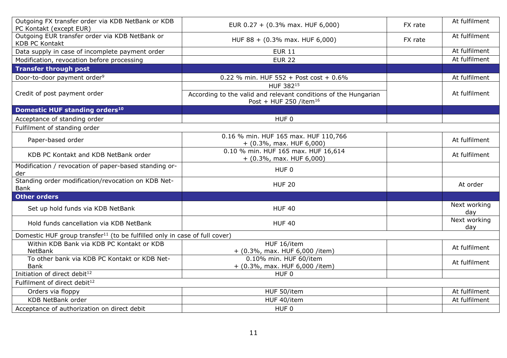| Outgoing FX transfer order via KDB NetBank or KDB<br>PC Kontakt (except EUR)           | EUR $0.27 + (0.3\% \text{ max. HUF } 6,000)$                                                                       | FX rate | At fulfilment       |
|----------------------------------------------------------------------------------------|--------------------------------------------------------------------------------------------------------------------|---------|---------------------|
| Outgoing EUR transfer order via KDB NetBank or<br><b>KDB PC Kontakt</b>                | HUF 88 + (0.3% max. HUF 6,000)                                                                                     | FX rate | At fulfilment       |
| Data supply in case of incomplete payment order                                        | <b>EUR 11</b>                                                                                                      |         | At fulfilment       |
| Modification, revocation before processing                                             | <b>EUR 22</b>                                                                                                      |         | At fulfilment       |
| <b>Transfer through post</b>                                                           |                                                                                                                    |         |                     |
| Door-to-door payment order <sup>9</sup>                                                | 0.22 % min. HUF 552 + Post cost + $0.6\%$                                                                          |         | At fulfilment       |
| Credit of post payment order                                                           | HUF 38215<br>According to the valid and relevant conditions of the Hungarian<br>Post + HUF 250 /item <sup>16</sup> |         | At fulfilment       |
| Domestic HUF standing orders <sup>10</sup>                                             |                                                                                                                    |         |                     |
| Acceptance of standing order                                                           | HUF <sub>0</sub>                                                                                                   |         |                     |
| Fulfilment of standing order                                                           |                                                                                                                    |         |                     |
| Paper-based order                                                                      | 0.16 % min. HUF 165 max. HUF 110,766<br>$+$ (0.3%, max. HUF 6,000)                                                 |         | At fulfilment       |
| KDB PC Kontakt and KDB NetBank order                                                   | 0.10 % min. HUF 165 max. HUF 16,614<br>$+$ (0.3%, max. HUF 6,000)                                                  |         | At fulfilment       |
| Modification / revocation of paper-based standing or-<br>der                           | HUF <sub>0</sub>                                                                                                   |         |                     |
| Standing order modification/revocation on KDB Net-<br>Bank                             | <b>HUF 20</b>                                                                                                      |         | At order            |
| <b>Other orders</b>                                                                    |                                                                                                                    |         |                     |
| Set up hold funds via KDB NetBank                                                      | <b>HUF 40</b>                                                                                                      |         | Next working<br>day |
| Hold funds cancellation via KDB NetBank                                                | <b>HUF 40</b>                                                                                                      |         | Next working<br>day |
| Domestic HUF group transfer <sup>11</sup> (to be fulfilled only in case of full cover) |                                                                                                                    |         |                     |
| Within KDB Bank via KDB PC Kontakt or KDB<br><b>NetBank</b>                            | HUF 16/item<br>$+$ (0.3%, max. HUF 6,000 /item)                                                                    |         | At fulfilment       |
| To other bank via KDB PC Kontakt or KDB Net-<br><b>Bank</b>                            | 0.10% min. HUF 60/item<br>+ (0.3%, max. HUF 6,000 /item)                                                           |         | At fulfilment       |
| Initiation of direct debit <sup>12</sup>                                               | HUF <sub>0</sub>                                                                                                   |         |                     |
| Fulfilment of direct debit <sup>12</sup>                                               |                                                                                                                    |         |                     |
| Orders via floppy                                                                      | HUF 50/item                                                                                                        |         | At fulfilment       |
| <b>KDB NetBank order</b>                                                               | HUF 40/item                                                                                                        |         | At fulfilment       |
| Acceptance of authorization on direct debit                                            | HUF <sub>0</sub>                                                                                                   |         |                     |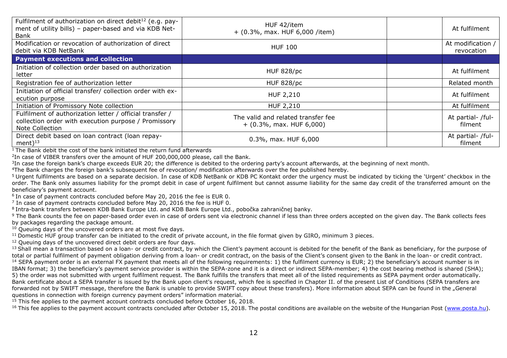| Fulfilment of authorization on direct debit <sup>12</sup> (e.g. pay-<br>ment of utility bills) - paper-based and via KDB Net-<br>Bank | HUF 42/item<br>$+$ (0.3%, max. HUF 6,000 /item)                  | At fulfilment                   |
|---------------------------------------------------------------------------------------------------------------------------------------|------------------------------------------------------------------|---------------------------------|
| Modification or revocation of authorization of direct<br>debit via KDB NetBank                                                        | <b>HUF 100</b>                                                   | At modification /<br>revocation |
| <b>Payment executions and collection</b>                                                                                              |                                                                  |                                 |
| Initiation of collection order based on authorization<br>letter                                                                       | <b>HUF 828/pc</b>                                                | At fulfilment                   |
| Registration fee of authorization letter                                                                                              | <b>HUF 828/pc</b>                                                | Related month                   |
| Initiation of official transfer/ collection order with ex-<br>ecution purpose                                                         | HUF 2,210                                                        | At fulfilment                   |
| Initiation of Promissory Note collection                                                                                              | HUF 2,210                                                        | At fulfilment                   |
| Fulfilment of authorization letter / official transfer /<br>collection order with execution purpose / Promissory<br>Note Collection   | The valid and related transfer fee<br>$+$ (0.3%, max. HUF 6,000) | At partial- /ful-<br>filment    |
| Direct debit based on loan contract (loan repay-<br>ment $)^{13}$                                                                     | 0.3%, max. HUF 6,000                                             | At partial- /ful-<br>filment    |

 $1$  The Bank debit the cost of the bank initiated the return fund afterwards

<sup>2</sup>In case of VIBER transfers over the amount of HUF 200,000,000 please, call the Bank.

 ${}^{3}$ In case the foreign bank's charge exceeds EUR 20; the difference is debited to the ordering party's account afterwards, at the beginning of next month.

<sup>4</sup>The Bank charges the foreign bank's subsequent fee of revocation/ modification afterwards over the fee published hereby.

<sup>5</sup> Urgent fulfilments are based on a separate decision. In case of KDB NetBank or KDB PC Kontakt order the urgency must be indicated by ticking the 'Urgent' checkbox in the order. The Bank only assumes liability for the prompt debit in case of urgent fulfilment but cannot assume liability for the same day credit of the transferred amount on the beneficiary's payment account.

 $6$  In case of payment contracts concluded before May 20, 2016 the fee is EUR 0.

 $^7$  In case of payment contracts concluded before May 20, 2016 the fee is HUF 0.

<sup>8</sup>Intra-bank transfers between KDB Bank Europe Ltd. and KDB Bank Europe Ltd., pobočka zahraničnej banky.

<sup>9</sup> The Bank counts the fee on paper-based order even in case of orders sent via electronic channel if less than three orders accepted on the given day. The Bank collects fees by packages regarding the package amount.

 $10$  Queuing days of the uncovered orders are at most five days.

<sup>11</sup> Domestic HUF group transfer can be initiated to the credit of private account, in the file format given by GIRO, minimum 3 pieces.

<sup>12</sup> Oueuing days of the uncovered direct debit orders are four days.

<sup>13</sup> Shall mean a transaction based on a loan- or credit contract, by which the Client's payment account is debited for the benefit of the Bank as beneficiary, for the purpose of total or partial fulfilment of payment obligation deriving from a loan- or credit contract, on the basis of the Client's consent given to the Bank in the loan- or credit contract. <sup>14</sup> SEPA payment order is an external FX payment that meets all of the following requirements: 1) the fulfilment currency is EUR; 2) the beneficiary's account number is in IBAN format; 3) the beneficiary's payment service provider is within the SEPA-zone and it is a direct or indirect SEPA-member; 4) the cost bearing method is shared (SHA); 5) the order was not submitted with urgent fulfilment request. The Bank fulfills the transfers that meet all of the listed requirements as SEPA payment order automatically. Bank certificate about a SEPA transfer is issued by the Bank upon client's request, which fee is specified in Chapter II. of the present List of Conditions (SEPA transfers are forwarded not by SWIFT message, therefore the Bank is unable to provide SWIFT copy about these transfers). More information about SEPA can be found in the "General questions in connection with foreign currency payment orders" information material.

 $15$  This fee applies to the payment account contracts concluded before October 16, 2018.

 $16$  This fee applies to the payment account contracts concluded after October 15, 2018. The postal conditions are available on the website of the Hungarian Post [\(www.posta.hu\)](http://www.posta.hu/).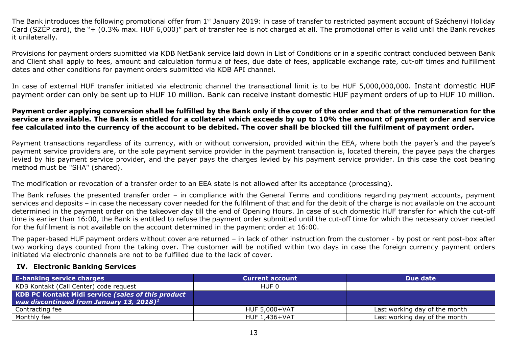The Bank introduces the following promotional offer from 1<sup>st</sup> January 2019: in case of transfer to restricted payment account of Széchenyi Holiday Card (SZÉP card), the "+ (0.3% max. HUF 6,000)" part of transfer fee is not charged at all. The promotional offer is valid until the Bank revokes it unilaterally.

Provisions for payment orders submitted via KDB NetBank service laid down in List of Conditions or in a specific contract concluded between Bank and Client shall apply to fees, amount and calculation formula of fees, due date of fees, applicable exchange rate, cut-off times and fulfillment dates and other conditions for payment orders submitted via KDB API channel.

In case of external HUF transfer initiated via electronic channel the transactional limit is to be HUF 5,000,000,000. Instant domestic HUF payment order can only be sent up to HUF 10 million. Bank can receive instant domestic HUF payment orders of up to HUF 10 million.

#### **Payment order applying conversion shall be fulfilled by the Bank only if the cover of the order and that of the remuneration for the service are available. The Bank is entitled for a collateral which exceeds by up to 10% the amount of payment order and service fee calculated into the currency of the account to be debited. The cover shall be blocked till the fulfilment of payment order.**

Payment transactions regardless of its currency, with or without conversion, provided within the EEA, where both the payer's and the payee's payment service providers are, or the sole payment service provider in the payment transaction is, located therein, the payee pays the charges levied by his payment service provider, and the payer pays the charges levied by his payment service provider. In this case the cost bearing method must be "SHA" (shared).

The modification or revocation of a transfer order to an EEA state is not allowed after its acceptance (processing).

The Bank refuses the presented transfer order – in compliance with the General Terms and conditions regarding payment accounts, payment services and deposits – in case the necessary cover needed for the fulfilment of that and for the debit of the charge is not available on the account determined in the payment order on the takeover day till the end of Opening Hours. In case of such domestic HUF transfer for which the cut-off time is earlier than 16:00, the Bank is entitled to refuse the payment order submitted until the cut-off time for which the necessary cover needed for the fulfilment is not available on the account determined in the payment order at 16:00.

The paper-based HUF payment orders without cover are returned – in lack of other instruction from the customer - by post or rent post-box after two working days counted from the taking over. The customer will be notified within two days in case the foreign currency payment orders initiated via electronic channels are not to be fulfilled due to the lack of cover.

#### <span id="page-12-0"></span>**IV. Electronic Banking Services**

| <b>E-banking service charges</b>                                                                                   | <b>Current account</b> | Due date                      |
|--------------------------------------------------------------------------------------------------------------------|------------------------|-------------------------------|
| KDB Kontakt (Call Center) code request                                                                             | HUF 0                  |                               |
| <b>KDB PC Kontakt Midi service (sales of this product)</b><br>was discontinued from January 13, 2018) <sup>1</sup> |                        |                               |
| Contracting fee                                                                                                    | <b>HUF 5,000+VAT</b>   | Last working day of the month |
| Monthly fee                                                                                                        | HUF 1,436+VAT          | Last working day of the month |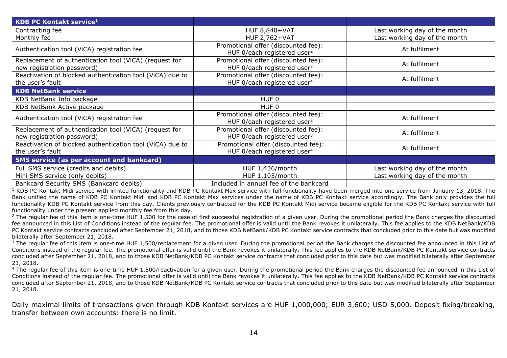| <b>KDB PC Kontakt service1</b>                                                       |                                                                                |                               |
|--------------------------------------------------------------------------------------|--------------------------------------------------------------------------------|-------------------------------|
| Contracting fee                                                                      | <b>HUF 8,840+VAT</b>                                                           | Last working day of the month |
| Monthly fee                                                                          | <b>HUF 2,762+VAT</b>                                                           | Last working day of the month |
| Authentication tool (ViCA) registration fee                                          | Promotional offer (discounted fee):<br>HUF 0/each registered user <sup>2</sup> | At fulfilment                 |
| Replacement of authentication tool (ViCA) (request for<br>new registration password) | Promotional offer (discounted fee):<br>HUF 0/each registered user <sup>3</sup> | At fulfilment                 |
| Reactivation of blocked authentication tool (ViCA) due to<br>the user's fault        | Promotional offer (discounted fee):<br>HUF 0/each registered user <sup>4</sup> | At fulfilment                 |
| <b>KDB NetBank service</b>                                                           |                                                                                |                               |
| KDB NetBank Info package                                                             | HUF <sub>0</sub>                                                               |                               |
| KDB NetBank Active package                                                           | HUF <sub>0</sub>                                                               |                               |
| Authentication tool (ViCA) registration fee                                          | Promotional offer (discounted fee):<br>HUF 0/each registered user <sup>2</sup> | At fulfilment                 |
| Replacement of authentication tool (ViCA) (request for<br>new registration password) | Promotional offer (discounted fee):<br>HUF 0/each registered user $3$          | At fulfilment                 |
| Reactivation of blocked authentication tool (ViCA) due to<br>the user's fault        | Promotional offer (discounted fee):<br>HUF 0/each registered user <sup>4</sup> | At fulfilment                 |
| <b>SMS service (as per account and bankcard)</b>                                     |                                                                                |                               |
| Full SMS service (credits and debits)                                                | HUF 1,436/month                                                                | Last working day of the month |
| Mini SMS service (only debits)                                                       | HUF 1,105/month                                                                | Last working day of the month |
| Bankcard Security SMS (Bankcard debits)                                              | Included in annual fee of the bankcard                                         |                               |

 $\frac{1}{1}$  KDB PC Kontakt Midi service with limited functionality and KDB PC Kontakt Max service with full functionality have been merged into one service from January 13, 2018. The Bank unified the name of KDB PC Kontakt Midi and KDB PC Kontakt Max services under the name of KDB PC Kontakt service accordingly. The Bank only provides the full functionality KDB PC Kontakt service from this day. Clients previously contracted for the KDB PC Kontakt Midi service became eligible for the KDB PC Kontakt service with full functionality under the present applied monthly fee from this day.

<sup>2</sup> The regular fee of this item is one-time HUF 1,500 for the case of first successful registration of a given user. During the promotional period the Bank charges the discounted fee announced in this List of Conditions instead of the regular fee. The promotional offer is valid until the Bank revokes it unilaterally. This fee applies to the KDB NetBank/KDB PC Kontakt service contracts concluded after September 21, 2018, and to those KDB NetBank/KDB PC Kontakt service contracts that concluded prior to this date but was modified bilaterally after September 21, 2018.

 $3$  The regular fee of this item is one-time HUF 1,500/replacement for a given user. During the promotional period the Bank charges the discounted fee announced in this List of Conditions instead of the regular fee. The promotional offer is valid until the Bank revokes it unilaterally. This fee applies to the KDB NetBank/KDB PC Kontakt service contracts concluded after September 21, 2018, and to those KDB NetBank/KDB PC Kontakt service contracts that concluded prior to this date but was modified bilaterally after September 21, 2018.

<sup>4</sup> The regular fee of this item is one-time HUF 1,500/reactivation for a given user. During the promotional period the Bank charges the discounted fee announced in this List of Conditions instead of the regular fee. The promotional offer is valid until the Bank revokes it unilaterally. This fee applies to the KDB NetBank/KDB PC Kontakt service contracts concluded after September 21, 2018, and to those KDB NetBank/KDB PC Kontakt service contracts that concluded prior to this date but was modified bilaterally after September 21, 2018.

Daily maximal limits of transactions given through KDB Kontakt services are HUF 1,000,000; EUR 3,600; USD 5,000. Deposit fixing/breaking, transfer between own accounts: there is no limit.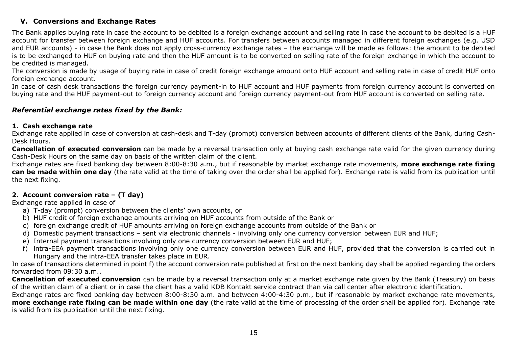## <span id="page-14-0"></span>**V. Conversions and Exchange Rates**

The Bank applies buying rate in case the account to be debited is a foreign exchange account and selling rate in case the account to be debited is a HUF account for transfer between foreign exchange and HUF accounts. For transfers between accounts managed in different foreign exchanges (e.g. USD and EUR accounts) - in case the Bank does not apply cross-currency exchange rates – the exchange will be made as follows: the amount to be debited is to be exchanged to HUF on buying rate and then the HUF amount is to be converted on selling rate of the foreign exchange in which the account to be credited is managed.

The conversion is made by usage of buying rate in case of credit foreign exchange amount onto HUF account and selling rate in case of credit HUF onto foreign exchange account.

In case of cash desk transactions the foreign currency payment-in to HUF account and HUF payments from foreign currency account is converted on buying rate and the HUF payment-out to foreign currency account and foreign currency payment-out from HUF account is converted on selling rate.

### *Referential exchange rates fixed by the Bank:*

#### **1. Cash exchange rate**

Exchange rate applied in case of conversion at cash-desk and T-day (prompt) conversion between accounts of different clients of the Bank, during Cash-Desk Hours.

**Cancellation of executed conversion** can be made by a reversal transaction only at buying cash exchange rate valid for the given currency during Cash-Desk Hours on the same day on basis of the written claim of the client.

Exchange rates are fixed banking day between 8:00-8:30 a.m., but if reasonable by market exchange rate movements, **more exchange rate fixing can be made within one day** (the rate valid at the time of taking over the order shall be applied for). Exchange rate is valid from its publication until the next fixing.

## **2. Account conversion rate – (T day)**

Exchange rate applied in case of

- a) T-day (prompt) conversion between the clients' own accounts, or
- b) HUF credit of foreign exchange amounts arriving on HUF accounts from outside of the Bank or
- c) foreign exchange credit of HUF amounts arriving on foreign exchange accounts from outside of the Bank or
- d) Domestic payment transactions sent via electronic channels involving only one currency conversion between EUR and HUF;
- e) Internal payment transactions involving only one currency conversion between EUR and HUF;
- f) intra-EEA payment transactions involving only one currency conversion between EUR and HUF, provided that the conversion is carried out in Hungary and the intra-EEA transfer takes place in EUR.

In case of transactions determined in point f) the account conversion rate published at first on the next banking day shall be applied regarding the orders forwarded from 09:30 a.m..

**Cancellation of executed conversion** can be made by a reversal transaction only at a market exchange rate given by the Bank (Treasury) on basis of the written claim of a client or in case the client has a valid KDB Kontakt service contract than via call center after electronic identification.

Exchange rates are fixed banking day between 8:00-8:30 a.m. and between 4:00-4:30 p.m., but if reasonable by market exchange rate movements, **more exchange rate fixing can be made within one day** (the rate valid at the time of processing of the order shall be applied for). Exchange rate is valid from its publication until the next fixing.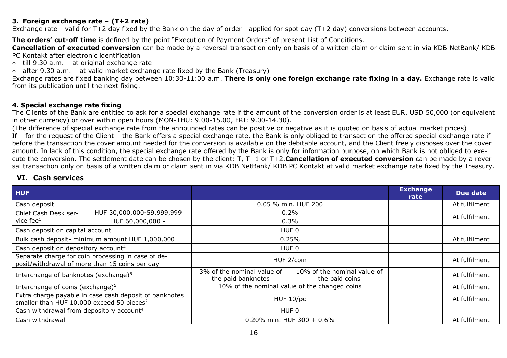### **3. Foreign exchange rate – (T+2 rate)**

Exchange rate - valid for T+2 day fixed by the Bank on the day of order - applied for spot day (T+2 day) conversions between accounts.

**The orders' cut-off time** is defined by the point "Execution of Payment Orders" of present List of Conditions.

**Cancellation of executed conversion** can be made by a reversal transaction only on basis of a written claim or claim sent in via KDB NetBank/ KDB PC Kontakt after electronic identification

 $\circ$  till 9.30 a.m. – at original exchange rate

 $\circ$  after 9.30 a.m. – at valid market exchange rate fixed by the Bank (Treasury)

Exchange rates are fixed banking day between 10:30-11:00 a.m. **There is only one foreign exchange rate fixing in a day.** Exchange rate is valid from its publication until the next fixing.

#### **4. Special exchange rate fixing**

The Clients of the Bank are entitled to ask for a special exchange rate if the amount of the conversion order is at least EUR, USD 50,000 (or equivalent in other currency) or over within open hours (MON-THU: 9.00-15.00, FRI: 9.00-14.30).

(The difference of special exchange rate from the announced rates can be positive or negative as it is quoted on basis of actual market prices) If – for the request of the Client – the Bank offers a special exchange rate, the Bank is only obliged to transact on the offered special exchange rate if before the transaction the cover amount needed for the conversion is available on the debitable account, and the Client freely disposes over the cover amount. In lack of this condition, the special exchange rate offered by the Bank is only for information purpose, on which Bank is not obliged to execute the conversion. The settlement date can be chosen by the client: T, T+1 or T+2.**Cancellation of executed conversion** can be made by a reversal transaction only on basis of a written claim or claim sent in via KDB NetBank/ KDB PC Kontakt at valid market exchange rate fixed by the Treasury.

### <span id="page-15-0"></span>**VI. Cash services**

| <b>HUF</b>                                                                                                      |                                                 |                                                  |                                               | <b>Exchange</b><br>rate | Due date      |
|-----------------------------------------------------------------------------------------------------------------|-------------------------------------------------|--------------------------------------------------|-----------------------------------------------|-------------------------|---------------|
| Cash deposit                                                                                                    |                                                 | 0.05 % min. HUF 200                              |                                               |                         | At fulfilment |
| Chief Cash Desk ser-                                                                                            | HUF 30,000,000-59,999,999                       |                                                  | $0.2\%$                                       |                         | At fulfilment |
| vice fee $1$                                                                                                    | HUF 60,000,000 -                                |                                                  | 0.3%                                          |                         |               |
| Cash deposit on capital account                                                                                 |                                                 |                                                  | HUF 0                                         |                         |               |
|                                                                                                                 | Bulk cash deposit- minimum amount HUF 1,000,000 |                                                  | 0.25%                                         |                         | At fulfilment |
| Cash deposit on depository account <sup>4</sup>                                                                 |                                                 | HUF 0                                            |                                               |                         |               |
| Separate charge for coin processing in case of de-<br>posit/withdrawal of more than 15 coins per day            |                                                 | HUF 2/coin                                       |                                               |                         | At fulfilment |
| Interchange of banknotes (exchange) <sup>5</sup>                                                                |                                                 | 3% of the nominal value of<br>the paid banknotes | 10% of the nominal value of<br>the paid coins |                         | At fulfilment |
| Interchange of coins (exchange) <sup>5</sup>                                                                    |                                                 |                                                  | 10% of the nominal value of the changed coins |                         | At fulfilment |
| Extra charge payable in case cash deposit of banknotes<br>smaller than HUF 10,000 exceed 50 pieces <sup>2</sup> |                                                 | HUF 10/pc                                        |                                               |                         | At fulfilment |
| Cash withdrawal from depository account <sup>4</sup>                                                            |                                                 | HUF 0                                            |                                               |                         |               |
| Cash withdrawal                                                                                                 |                                                 | 0.20% min. HUF 300 + 0.6%                        |                                               |                         | At fulfilment |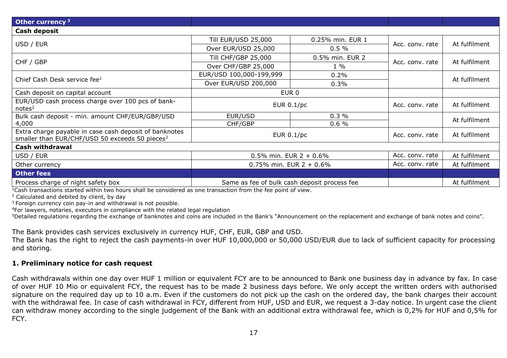| Other currency <sup>3</sup>                                                                                          |                            |                                              |                 |               |
|----------------------------------------------------------------------------------------------------------------------|----------------------------|----------------------------------------------|-----------------|---------------|
| Cash deposit                                                                                                         |                            |                                              |                 |               |
|                                                                                                                      | <b>Till EUR/USD 25,000</b> | 0.25% min. EUR 1                             |                 | At fulfilment |
| USD / EUR                                                                                                            | Over EUR/USD 25,000        | $0.5 \%$                                     | Acc. conv. rate |               |
| CHF / GBP                                                                                                            | <b>Till CHF/GBP 25,000</b> | 0.5% min. EUR 2                              | Acc. conv. rate | At fulfilment |
|                                                                                                                      | Over CHF/GBP 25,000        | $1\%$                                        |                 |               |
| Chief Cash Desk service fee <sup>1</sup>                                                                             | EUR/USD 100,000-199,999    | 0.2%                                         |                 | At fulfilment |
|                                                                                                                      | Over EUR/USD 200,000       | 0.3%                                         |                 |               |
| Cash deposit on capital account                                                                                      | EUR <sub>0</sub>           |                                              |                 |               |
| EUR/USD cash process charge over 100 pcs of bank-<br>notes <sup>2</sup>                                              | EUR $0.1$ /pc              |                                              | Acc. conv. rate | At fulfilment |
| Bulk cash deposit - min. amount CHF/EUR/GBP/USD                                                                      | EUR/USD                    | 0.3%                                         |                 | At fulfilment |
| 4,000                                                                                                                | CHF/GBP                    | 0.6%                                         |                 |               |
| Extra charge payable in case cash deposit of banknotes<br>smaller than EUR/CHF/USD 50 exceeds 50 pieces <sup>2</sup> |                            | EUR 0.1/pc                                   | Acc. conv. rate | At fulfilment |
| <b>Cash withdrawal</b>                                                                                               |                            |                                              |                 |               |
| USD / EUR                                                                                                            | 0.5% min. EUR $2 + 0.6%$   |                                              | Acc. conv. rate | At fulfilment |
| Other currency                                                                                                       | 0.75% min. EUR $2 + 0.6%$  |                                              | Acc. conv. rate | At fulfilment |
| <b>Other fees</b>                                                                                                    |                            |                                              |                 |               |
| Process charge of night safety box                                                                                   |                            | Same as fee of bulk cash deposit process fee |                 | At fulfilment |

 $1$ Cash transactions started within two hours shall be considered as one transaction from the fee point of view.

<sup>2</sup> Calculated and debited by client, by day

<sup>3</sup> Foreign currency coin pay-in and withdrawal is not possible.

<sup>4</sup>For lawyers, notaries, executors in compliance with the related legal regulation

<sup>5</sup>Detailed regulations regarding the exchange of banknotes and coins are included in the Bank's "Announcement on the replacement and exchange of bank notes and coins".

The Bank provides cash services exclusively in currency HUF, CHF, EUR, GBP and USD.

The Bank has the right to reject the cash payments-in over HUF 10,000,000 or 50,000 USD/EUR due to lack of sufficient capacity for processing and storing.

#### **1. Preliminary notice for cash request**

Cash withdrawals within one day over HUF 1 million or equivalent FCY are to be announced to Bank one business day in advance by fax. In case of over HUF 10 Mio or equivalent FCY, the request has to be made 2 business days before. We only accept the written orders with authorised signature on the required day up to 10 a.m. Even if the customers do not pick up the cash on the ordered day, the bank charges their account with the withdrawal fee. In case of cash withdrawal in FCY, different from HUF, USD and EUR, we request a 3-day notice. In urgent case the client can withdraw money according to the single judgement of the Bank with an additional extra withdrawal fee, which is 0,2% for HUF and 0,5% for FCY.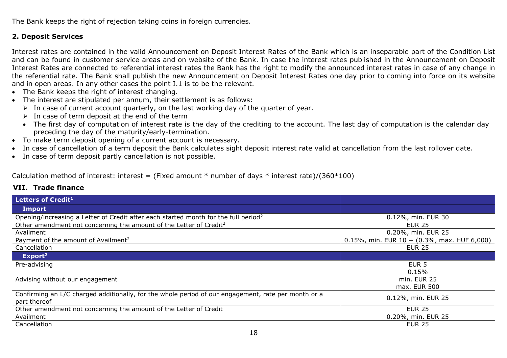The Bank keeps the right of rejection taking coins in foreign currencies.

## **2. Deposit Services**

Interest rates are contained in the valid Announcement on Deposit Interest Rates of the Bank which is an inseparable part of the Condition List and can be found in customer service areas and on website of the Bank. In case the interest rates published in the Announcement on Deposit Interest Rates are connected to referential interest rates the Bank has the right to modify the announced interest rates in case of any change in the referential rate. The Bank shall publish the new Announcement on Deposit Interest Rates one day prior to coming into force on its website and in open areas. In any other cases the point I.1 is to be the relevant.

- The Bank keeps the right of interest changing.
- The interest are stipulated per annum, their settlement is as follows:
	- $\triangleright$  In case of current account quarterly, on the last working day of the quarter of year.
	- $\triangleright$  In case of term deposit at the end of the term
	- The first day of computation of interest rate is the day of the crediting to the account. The last day of computation is the calendar day preceding the day of the maturity/early-termination.
- To make term deposit opening of a current account is necessary.
- In case of cancellation of a term deposit the Bank calculates sight deposit interest rate valid at cancellation from the last rollover date.
- In case of term deposit partly cancellation is not possible.

Calculation method of interest: interest = (Fixed amount  $*$  number of days  $*$  interest rate)/(360 $*100$ )

| Letters of Credit <sup>1</sup>                                                                                      |                                                 |
|---------------------------------------------------------------------------------------------------------------------|-------------------------------------------------|
| Import                                                                                                              |                                                 |
| Opening/increasing a Letter of Credit after each started month for the full period <sup>2</sup>                     | 0.12%, min. EUR 30                              |
| Other amendment not concerning the amount of the Letter of Credit <sup>2</sup>                                      | <b>EUR 25</b>                                   |
| Availment                                                                                                           | 0.20%, min. EUR 25                              |
| Payment of the amount of Availment <sup>2</sup>                                                                     | 0.15%, min. EUR $10 + (0.3\%$ , max. HUF 6,000) |
| Cancellation                                                                                                        | <b>EUR 25</b>                                   |
| Export <sup>2</sup>                                                                                                 |                                                 |
| Pre-advising                                                                                                        | EUR <sub>5</sub>                                |
| Advising without our engagement                                                                                     | 0.15%<br>min. EUR 25<br>max. EUR 500            |
| Confirming an L/C charged additionally, for the whole period of our engagement, rate per month or a<br>part thereof | 0.12%, min. EUR 25                              |
| Other amendment not concerning the amount of the Letter of Credit                                                   | <b>EUR 25</b>                                   |
| Availment                                                                                                           | 0.20%, min. EUR 25                              |
| Cancellation                                                                                                        | <b>EUR 25</b>                                   |
| $\overline{\phantom{a}}$                                                                                            |                                                 |

## <span id="page-17-0"></span>**VII. Trade finance**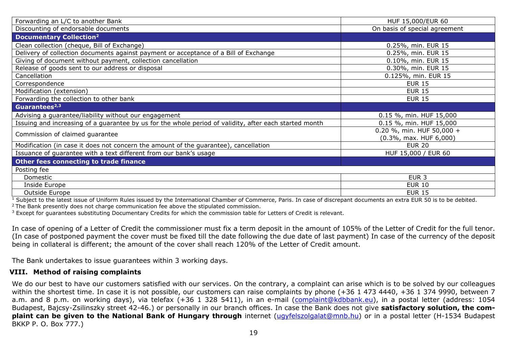| Forwarding an L/C to another Bank                                                                      | HUF 15,000/EUR 60                                          |
|--------------------------------------------------------------------------------------------------------|------------------------------------------------------------|
| Discounting of endorsable documents                                                                    | On basis of special agreement                              |
| <b>Documentary Collection<sup>2</sup></b>                                                              |                                                            |
| Clean collection (cheque, Bill of Exchange)                                                            | 0.25%, min. EUR 15                                         |
| Delivery of collection documents against payment or acceptance of a Bill of Exchange                   | 0.25%, min. EUR 15                                         |
| Giving of document without payment, collection cancellation                                            | 0.10%, min. EUR 15                                         |
| Release of goods sent to our address or disposal                                                       | 0.30%, min. EUR 15                                         |
| Cancellation                                                                                           | 0.125%, min. EUR 15                                        |
| Correspondence                                                                                         | <b>EUR 15</b>                                              |
| Modification (extension)                                                                               | <b>EUR 15</b>                                              |
| Forwarding the collection to other bank                                                                | <b>EUR 15</b>                                              |
| Guarantees <sup>2,3</sup>                                                                              |                                                            |
| Advising a guarantee/liability without our engagement                                                  | 0.15 %, min. HUF 15,000                                    |
| Issuing and increasing of a guarantee by us for the whole period of validity, after each started month | 0.15 %, min. HUF 15,000                                    |
| Commission of claimed guarantee                                                                        | 0.20 %, min. HUF 50,000 +<br>$(0.3\%$ , max. HUF $6,000$ ) |
| Modification (in case it does not concern the amount of the guarantee), cancellation                   | <b>EUR 20</b>                                              |
| Issuance of guarantee with a text different from our bank's usage                                      | HUF 15,000 / EUR 60                                        |
| Other fees connecting to trade finance                                                                 |                                                            |
| Posting fee                                                                                            |                                                            |
| Domestic                                                                                               | EUR <sub>3</sub>                                           |
| Inside Europe                                                                                          | <b>EUR 10</b>                                              |
| Outside Europe                                                                                         | <b>EUR 15</b>                                              |

 $1$  Subject to the latest issue of Uniform Rules issued by the International Chamber of Commerce, Paris. In case of discrepant documents an extra EUR 50 is to be debited.

<sup>2</sup> The Bank presently does not charge communication fee above the stipulated commission.

<sup>3</sup> Except for guarantees substituting Documentary Credits for which the commission table for Letters of Credit is relevant.

In case of opening of a Letter of Credit the commissioner must fix a term deposit in the amount of 105% of the Letter of Credit for the full tenor. (In case of postponed payment the cover must be fixed till the date following the due date of last payment) In case of the currency of the deposit being in collateral is different; the amount of the cover shall reach 120% of the Letter of Credit amount.

The Bank undertakes to issue guarantees within 3 working days.

#### <span id="page-18-0"></span>**VIII. Method of raising complaints**

We do our best to have our customers satisfied with our services. On the contrary, a complaint can arise which is to be solved by our colleagues within the shortest time. In case it is not possible, our customers can raise complaints by phone (+36 1 473 4440, +36 1 374 9990, between 7 a.m. and 8 p.m. on working days), via telefax (+36 1 328 5411), in an e-mail [\(complaint@kdbbank.eu\)](mailto:complaint@kdbbank.eu), in a postal letter (address: 1054 Budapest, Bajcsy-Zsilinszky street 42-46.) or personally in our branch offices. In case the Bank does not give **satisfactory solution, the complaint can be given to the National Bank of Hungary through** internet [\(ugyfelszolgalat@mnb.hu\)](mailto:ugyfelszolgalat@mnb.hu) or in a postal letter (H-1534 Budapest BKKP P. O. Box 777.)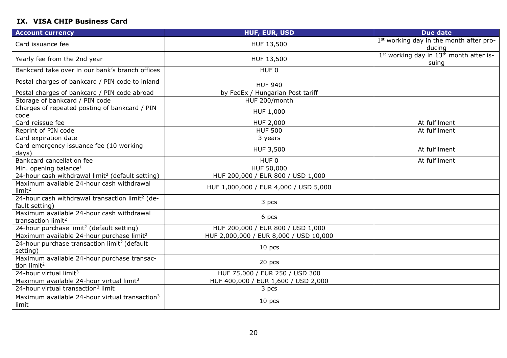## <span id="page-19-0"></span>**IX. VISA CHIP Business Card**

| <b>Account currency</b>                                                       | <b>HUF, EUR, USD</b>                   | <b>Due date</b>                                                          |
|-------------------------------------------------------------------------------|----------------------------------------|--------------------------------------------------------------------------|
| Card issuance fee                                                             | HUF 13,500                             | 1 <sup>st</sup> working day in the month after pro-<br>ducing            |
| Yearly fee from the 2nd year                                                  | HUF 13,500                             | 1 <sup>st</sup> working day in 13 <sup>th</sup> month after is-<br>suing |
| Bankcard take over in our bank's branch offices                               | HUF <sub>0</sub>                       |                                                                          |
| Postal charges of bankcard / PIN code to inland                               | <b>HUF 940</b>                         |                                                                          |
| Postal charges of bankcard / PIN code abroad                                  | by FedEx / Hungarian Post tariff       |                                                                          |
| Storage of bankcard / PIN code                                                | HUF 200/month                          |                                                                          |
| Charges of repeated posting of bankcard / PIN<br>code                         | HUF 1,000                              |                                                                          |
| Card reissue fee                                                              | HUF 2,000                              | At fulfilment                                                            |
| Reprint of PIN code                                                           | <b>HUF 500</b>                         | At fulfilment                                                            |
| Card expiration date                                                          | 3 years                                |                                                                          |
| Card emergency issuance fee (10 working<br>days)                              | HUF 3,500                              | At fulfilment                                                            |
| Bankcard cancellation fee                                                     | HUF 0                                  | At fulfilment                                                            |
| Min. opening balance <sup>1</sup>                                             | HUF 50,000                             |                                                                          |
| 24-hour cash withdrawal limit <sup>2</sup> (default setting)                  | HUF 200,000 / EUR 800 / USD 1,000      |                                                                          |
| Maximum available 24-hour cash withdrawal<br>limit <sup>2</sup>               | HUF 1,000,000 / EUR 4,000 / USD 5,000  |                                                                          |
| 24-hour cash withdrawal transaction limit <sup>2</sup> (de-<br>fault setting) | 3 pcs                                  |                                                                          |
| Maximum available 24-hour cash withdrawal<br>transaction limit <sup>2</sup>   | 6 pcs                                  |                                                                          |
| 24-hour purchase limit <sup>2</sup> (default setting)                         | HUF 200,000 / EUR 800 / USD 1,000      |                                                                          |
| Maximum available 24-hour purchase limit <sup>2</sup>                         | HUF 2,000,000 / EUR 8,000 / USD 10,000 |                                                                          |
| 24-hour purchase transaction limit <sup>2</sup> (default<br>setting)          | 10 <sub>pcs</sub>                      |                                                                          |
| Maximum available 24-hour purchase transac-<br>tion limit <sup>2</sup>        | 20 pcs                                 |                                                                          |
| 24-hour virtual limit <sup>3</sup>                                            | HUF 75,000 / EUR 250 / USD 300         |                                                                          |
| Maximum available 24-hour virtual limit <sup>3</sup>                          | HUF 400,000 / EUR 1,600 / USD 2,000    |                                                                          |
| 24-hour virtual transaction <sup>3</sup> limit                                | 3 pcs                                  |                                                                          |
| Maximum available 24-hour virtual transaction <sup>3</sup><br>limit           | 10 <sub>pcs</sub>                      |                                                                          |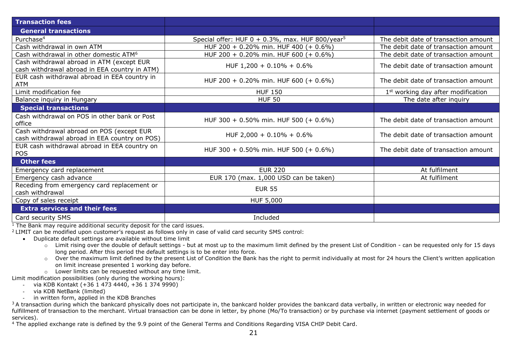| <b>Transaction fees</b>                                                                    |                                                                 |                                                |
|--------------------------------------------------------------------------------------------|-----------------------------------------------------------------|------------------------------------------------|
| <b>General transactions</b>                                                                |                                                                 |                                                |
| Purchase <sup>4</sup>                                                                      | Special offer: HUF $0 + 0.3\%$ , max. HUF 800/year <sup>5</sup> | The debit date of transaction amount           |
| Cash withdrawal in own ATM                                                                 | HUF 200 + 0.20% min. HUF 400 (+ 0.6%)                           | The debit date of transaction amount           |
| Cash withdrawal in other domestic ATM <sup>6</sup>                                         | HUF 200 + 0.20% min. HUF 600 (+ 0.6%)                           | The debit date of transaction amount           |
| Cash withdrawal abroad in ATM (except EUR<br>cash withdrawal abroad in EEA country in ATM) | HUF $1,200 + 0.10\% + 0.6\%$                                    | The debit date of transaction amount           |
| EUR cash withdrawal abroad in EEA country in<br>ATM                                        | HUF 200 + 0.20% min. HUF 600 (+ 0.6%)                           | The debit date of transaction amount           |
| Limit modification fee                                                                     | <b>HUF 150</b>                                                  | 1 <sup>st</sup> working day after modification |
| Balance inquiry in Hungary                                                                 | <b>HUF 50</b>                                                   | The date after inquiry                         |
| <b>Special transactions</b>                                                                |                                                                 |                                                |
| Cash withdrawal on POS in other bank or Post<br>office                                     | HUF 300 + 0.50% min. HUF 500 (+ 0.6%)                           | The debit date of transaction amount           |
| Cash withdrawal abroad on POS (except EUR<br>cash withdrawal abroad in EEA country on POS) | HUF 2,000 + 0.10% + 0.6%                                        | The debit date of transaction amount           |
| EUR cash withdrawal abroad in EEA country on<br>POS                                        | HUF 300 + 0.50% min. HUF 500 (+ 0.6%)                           | The debit date of transaction amount           |
| <b>Other fees</b>                                                                          |                                                                 |                                                |
| Emergency card replacement                                                                 | <b>EUR 220</b>                                                  | At fulfilment                                  |
| Emergency cash advance                                                                     | EUR 170 (max. 1,000 USD can be taken)                           | At fulfilment                                  |
| Receding from emergency card replacement or<br>cash withdrawal                             | <b>EUR 55</b>                                                   |                                                |
| Copy of sales receipt                                                                      | HUF 5,000                                                       |                                                |
| <b>Extra services and their fees</b>                                                       |                                                                 |                                                |
| Card security SMS                                                                          | Included                                                        |                                                |

 $1$ <sup>1</sup> The Bank may require additional security deposit for the card issues.

<sup>2</sup>LIMIT can be modified upon customer's request as follows only in case of valid card security SMS control:

- Duplicate default settings are available without time limit
	- o Limit rising over the double of default settings but at most up to the maximum limit defined by the present List of Condition can be requested only for 15 days long period. After this period the default settings is to be enter into force.
	- o Over the maximum limit defined by the present List of Condition the Bank has the right to permit individually at most for 24 hours the Client's written application on limit increase presented 1 working day before.
	- o Lower limits can be requested without any time limit.

Limit modification possibilities (only during the working hours):

- via KDB Kontakt (+36 1 473 4440, +36 1 374 9990)
- via KDB NetBank (limited)
- in written form, applied in the KDB Branches

 $3A$  transaction during which the bankcard physically does not participate in, the bankcard holder provides the bankcard data verbally, in written or electronic way needed for fulfillment of transaction to the merchant. Virtual transaction can be done in letter, by phone (Mo/To transaction) or by purchase via internet (payment settlement of goods or services).

<sup>4</sup> The applied exchange rate is defined by the 9.9 point of the General Terms and Conditions Regarding VISA CHIP Debit Card.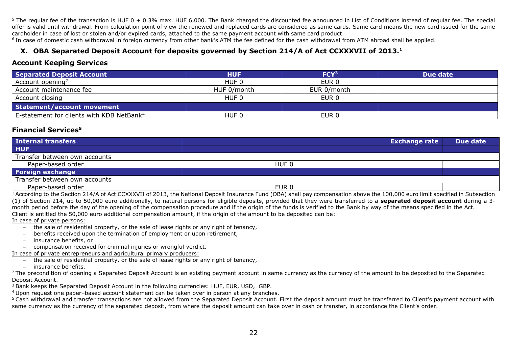$5$  The regular fee of the transaction is HUF 0 + 0.3% max. HUF 6.000. The Bank charged the discounted fee announced in List of Conditions instead of regular fee. The special offer is valid until withdrawal. From calculation point of view the renewed and replaced cards are considered as same cards. Same card means the new card issued for the same cardholder in case of lost or stolen and/or expired cards, attached to the same payment account with same card product.

<span id="page-21-0"></span><sup>6</sup> In case of domestic cash withdrawal in foreign currency from other bank's ATM the fee defined for the cash withdrawal from ATM abroad shall be applied.

#### **X. OBA Separated Deposit Account for deposits governed by Section 214/A of Act CCXXXVII of 2013.<sup>1</sup>**

#### **Account Keeping Services**

| <b>Separated Deposit Account</b>                      | <b>HUF</b>  | FCY <sup>3</sup> | Due date |
|-------------------------------------------------------|-------------|------------------|----------|
| Account opening <sup>2</sup>                          | HUF 0       | EUR 0            |          |
| Account maintenance fee                               | HUF 0/month | EUR 0/month      |          |
| Account closing                                       | HUF 0       | EUR <sub>0</sub> |          |
| <b>Statement/account movement</b>                     |             |                  |          |
| E-statement for clients with KDB NetBank <sup>4</sup> | HUF 0       | EUR <sub>0</sub> |          |

### **Financial Services<sup>5</sup>**

| <b>Internal transfers</b>       |       | <b>Exchange rate</b> | Due date |
|---------------------------------|-------|----------------------|----------|
| <b>HUF</b>                      |       |                      |          |
| I Transfer between own accounts |       |                      |          |
| Paper-based order               | HUF 0 |                      |          |
| <b>Foreign exchange</b>         |       |                      |          |
| Transfer between own accounts   |       |                      |          |
| Paper-based order               | EUR 0 |                      |          |

 $14$  According to the Section 214/A of Act CCXXXVII of 2013, the National Deposit Insurance Fund (OBA) shall pay compensation above the 100,000 euro limit specified in Subsection (1) of Section 214, up to 50,000 euro additionally, to natural persons for eligible deposits, provided that they were transferred to a **separated deposit account** during a 3 month period before the day of the opening of the compensation procedure and if the origin of the funds is verified to the Bank by way of the means specified in the Act. Client is entitled the 50,000 euro additional compensation amount, if the origin of the amount to be deposited can be:

#### In case of private persons:

- − the sale of residential property, or the sale of lease rights or any right of tenancy,
- − benefits received upon the termination of employment or upon retirement,
- − insurance benefits, or
- − compensation received for criminal injuries or wrongful verdict.

#### In case of private entrepreneurs and agricultural primary producers:

- − the sale of residential property, or the sale of lease rights or any right of tenancy,
- − insurance benefits.

<sup>2</sup> The precondition of opening a Separated Deposit Account is an existing payment account in same currency as the currency of the amount to be deposited to the Separated Deposit Account.

<sup>3</sup> Bank keeps the Separated Deposit Account in the following currencies: HUF, EUR, USD, GBP.

<sup>4</sup>Upon request one paper–based account statement can be taken over in person at any branches.

<sup>5</sup> Cash withdrawal and transfer transactions are not allowed from the Separated Deposit Account. First the deposit amount must be transferred to Client's payment account with same currency as the currency of the separated deposit, from where the deposit amount can take over in cash or transfer, in accordance the Client's order.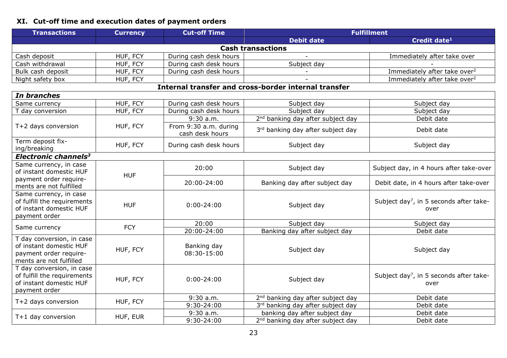## <span id="page-22-0"></span>**XI. Cut-off time and execution dates of payment orders**

| <b>Transactions</b>                                                                                       | <b>Currency</b> | <b>Cut-off Time</b>                      | <b>Fulfillment</b>                                   |                                                             |  |
|-----------------------------------------------------------------------------------------------------------|-----------------|------------------------------------------|------------------------------------------------------|-------------------------------------------------------------|--|
|                                                                                                           |                 |                                          | <b>Debit date</b>                                    | Credit date <sup>1</sup>                                    |  |
| <b>Cash transactions</b>                                                                                  |                 |                                          |                                                      |                                                             |  |
| Cash deposit                                                                                              | HUF, FCY        | During cash desk hours                   |                                                      | Immediately after take over                                 |  |
| Cash withdrawal                                                                                           | HUF, FCY        | During cash desk hours                   | Subject day                                          |                                                             |  |
| Bulk cash deposit                                                                                         | HUF, FCY        | During cash desk hours                   |                                                      | Immediately after take over <sup>2</sup>                    |  |
| Night safety box                                                                                          | HUF, FCY        |                                          |                                                      | Immediately after take over <sup>2</sup>                    |  |
|                                                                                                           |                 |                                          | Internal transfer and cross-border internal transfer |                                                             |  |
| In branches                                                                                               |                 |                                          |                                                      |                                                             |  |
| Same currency                                                                                             | HUF, FCY        | During cash desk hours                   | Subject day                                          | Subject day                                                 |  |
| T day conversion                                                                                          | HUF, FCY        | During cash desk hours                   | Subject day                                          | Subject day                                                 |  |
|                                                                                                           |                 | $9:30$ a.m.                              | 2 <sup>nd</sup> banking day after subject day        | Debit date                                                  |  |
| T+2 days conversion                                                                                       | HUF, FCY        | From 9:30 a.m. during<br>cash desk hours | 3rd banking day after subject day                    | Debit date                                                  |  |
| Term deposit fix-<br>ing/breaking                                                                         | HUF, FCY        | During cash desk hours                   | Subject day                                          | Subject day                                                 |  |
| Electronic channels <sup>3</sup>                                                                          |                 |                                          |                                                      |                                                             |  |
| Same currency, in case<br>of instant domestic HUF                                                         | <b>HUF</b>      | 20:00                                    | Subject day                                          | Subject day, in 4 hours after take-over                     |  |
| payment order require-<br>ments are not fulfilled                                                         |                 | 20:00-24:00                              | Banking day after subject day                        | Debit date, in 4 hours after take-over                      |  |
| Same currency, in case<br>of fulfill the requirements<br>of instant domestic HUF<br>payment order         | <b>HUF</b>      | $0:00 - 24:00$                           | Subject day                                          | Subject day <sup>7</sup> , in 5 seconds after take-<br>over |  |
|                                                                                                           | <b>FCY</b>      | 20:00                                    | Subject day                                          | Subject day                                                 |  |
| Same currency                                                                                             |                 | 20:00-24:00                              | Banking day after subject day                        | Debit date                                                  |  |
| T day conversion, in case<br>of instant domestic HUF<br>payment order require-<br>ments are not fulfilled | HUF, FCY        | Banking day<br>08:30-15:00               | Subject day                                          | Subject day                                                 |  |
| T day conversion, in case<br>of fulfill the requirements<br>of instant domestic HUF<br>payment order      | HUF, FCY        | $0:00 - 24:00$                           | Subject day                                          | Subject day <sup>7</sup> , in 5 seconds after take-<br>over |  |
| T+2 days conversion                                                                                       | HUF, FCY        | $9:30$ a.m.                              | 2 <sup>nd</sup> banking day after subject day        | Debit date                                                  |  |
|                                                                                                           |                 | $9:30 - 24:00$                           | 3rd banking day after subject day                    | Debit date                                                  |  |
| T+1 day conversion                                                                                        | HUF, EUR        | $9:30$ a.m.                              | banking day after subject day                        | Debit date                                                  |  |
|                                                                                                           |                 | 9:30-24:00                               | 2 <sup>nd</sup> banking day after subject day        | Debit date                                                  |  |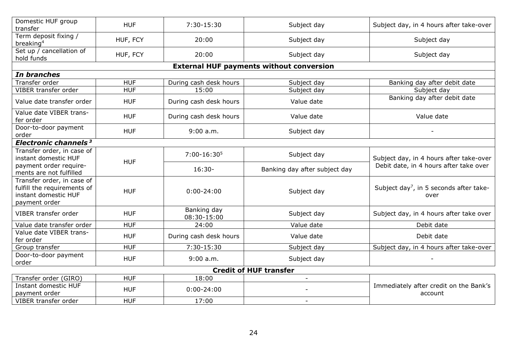| Domestic HUF group<br>transfer                                                                     | <b>HUF</b> | 7:30-15:30                 | Subject day                                     | Subject day, in 4 hours after take-over                     |
|----------------------------------------------------------------------------------------------------|------------|----------------------------|-------------------------------------------------|-------------------------------------------------------------|
| Term deposit fixing /<br>breaking <sup>4</sup>                                                     | HUF, FCY   | 20:00                      | Subject day                                     | Subject day                                                 |
| Set up / cancellation of<br>hold funds                                                             | HUF, FCY   | 20:00                      | Subject day                                     | Subject day                                                 |
|                                                                                                    |            |                            | <b>External HUF payments without conversion</b> |                                                             |
| In branches                                                                                        |            |                            |                                                 |                                                             |
| Transfer order                                                                                     | <b>HUF</b> | During cash desk hours     | Subject day                                     | Banking day after debit date                                |
| VIBER transfer order                                                                               | <b>HUF</b> | 15:00                      | Subject day                                     | Subject day                                                 |
| Value date transfer order                                                                          | <b>HUF</b> | During cash desk hours     | Value date                                      | Banking day after debit date                                |
| Value date VIBER trans-<br>fer order                                                               | <b>HUF</b> | During cash desk hours     | Value date                                      | Value date                                                  |
| Door-to-door payment<br>order                                                                      | <b>HUF</b> | 9:00 a.m.                  | Subject day                                     |                                                             |
| Electronic channels <sup>3</sup>                                                                   |            |                            |                                                 |                                                             |
| Transfer order, in case of<br>instant domestic HUF                                                 |            | $7:00-16:305$              | Subject day                                     | Subject day, in 4 hours after take-over                     |
| payment order require-<br>ments are not fulfilled                                                  | <b>HUF</b> | $16:30-$                   | Banking day after subject day                   | Debit date, in 4 hours after take over                      |
| Transfer order, in case of<br>fulfill the requirements of<br>instant domestic HUF<br>payment order | <b>HUF</b> | $0:00 - 24:00$             | Subject day                                     | Subject day <sup>7</sup> , in 5 seconds after take-<br>over |
| VIBER transfer order                                                                               | <b>HUF</b> | Banking day<br>08:30-15:00 | Subject day                                     | Subject day, in 4 hours after take over                     |
| Value date transfer order                                                                          | <b>HUF</b> | 24:00                      | Value date                                      | Debit date                                                  |
| Value date VIBER trans-<br>fer order                                                               | <b>HUF</b> | During cash desk hours     | Value date                                      | Debit date                                                  |
| Group transfer                                                                                     | <b>HUF</b> | 7:30-15:30                 | Subject day                                     | Subject day, in 4 hours after take-over                     |
| Door-to-door payment<br>order                                                                      | <b>HUF</b> | 9:00 a.m.                  | Subject day                                     |                                                             |
|                                                                                                    |            |                            | <b>Credit of HUF transfer</b>                   |                                                             |
| Transfer order (GIRO)                                                                              | <b>HUF</b> | 18:00                      | $\blacksquare$                                  |                                                             |
| Instant domestic HUF<br>payment order                                                              | <b>HUF</b> | $0:00 - 24:00$             |                                                 | Immediately after credit on the Bank's<br>account           |
| VIBER transfer order                                                                               | <b>HUF</b> | 17:00                      | $\overline{\phantom{a}}$                        |                                                             |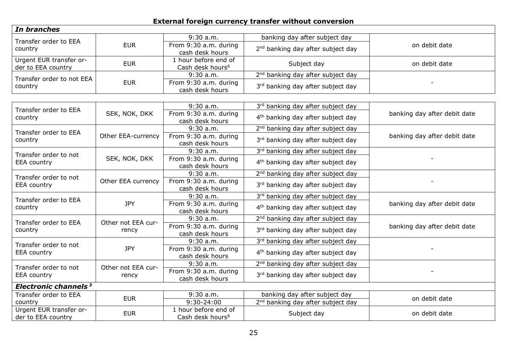## **External foreign currency transfer without conversion**

| In branches                                   |                    |                                                      |                                               |                              |
|-----------------------------------------------|--------------------|------------------------------------------------------|-----------------------------------------------|------------------------------|
| Transfer order to EEA                         |                    | 9:30 a.m.                                            | banking day after subject day                 |                              |
| country                                       | <b>EUR</b>         | From 9:30 a.m. during<br>cash desk hours             | 2 <sup>nd</sup> banking day after subject day | on debit date                |
| Urgent EUR transfer or-<br>der to EEA country | <b>EUR</b>         | 1 hour before end of<br>Cash desk hours <sup>6</sup> | Subject day                                   | on debit date                |
| Transfer order to not EEA                     |                    | 9:30 a.m.                                            | 2 <sup>nd</sup> banking day after subject day |                              |
| country                                       | <b>EUR</b>         | From 9:30 a.m. during<br>cash desk hours             | 3rd banking day after subject day             |                              |
|                                               |                    |                                                      |                                               |                              |
| Transfer order to EEA                         |                    | $9:30$ a.m.                                          | 3rd banking day after subject day             |                              |
| country                                       | SEK, NOK, DKK      | From 9:30 a.m. during<br>cash desk hours             | 4 <sup>th</sup> banking day after subject day | banking day after debit date |
| Transfer order to EEA                         |                    | 9:30 a.m.                                            | 2 <sup>nd</sup> banking day after subject day |                              |
| country                                       | Other EEA-currency | From 9:30 a.m. during<br>cash desk hours             | 3rd banking day after subject day             | banking day after debit date |
| Transfer order to not                         |                    | $9:30$ a.m.                                          | 3rd banking day after subject day             |                              |
| <b>EEA</b> country                            | SEK, NOK, DKK      | From 9:30 a.m. during<br>cash desk hours             | 4 <sup>th</sup> banking day after subject day |                              |
| Transfer order to not                         |                    | 9:30 a.m.                                            | 2 <sup>nd</sup> banking day after subject day |                              |
| <b>EEA</b> country                            | Other EEA currency | From 9:30 a.m. during<br>cash desk hours             | 3rd banking day after subject day             |                              |
| Transfer order to EEA                         |                    | $9:30$ a.m.                                          | 3rd banking day after subject day             |                              |
| country                                       | <b>JPY</b>         | From 9:30 a.m. during<br>cash desk hours             | 4 <sup>th</sup> banking day after subject day | banking day after debit date |
| Transfer order to EEA                         | Other not EEA cur- | $9:30$ a.m.                                          | 2 <sup>nd</sup> banking day after subject day |                              |
| country                                       | rency              | From 9:30 a.m. during<br>cash desk hours             | 3rd banking day after subject day             | banking day after debit date |
| Transfer order to not                         |                    | $9:30$ a.m.                                          | 3rd banking day after subject day             |                              |
| <b>EEA</b> country                            | <b>JPY</b>         | From 9:30 a.m. during<br>cash desk hours             | 4 <sup>th</sup> banking day after subject day |                              |
| Transfer order to not                         | Other not EEA cur- | $9:30$ a.m.                                          | 2 <sup>nd</sup> banking day after subject day |                              |
| <b>EEA</b> country                            | rency              | From 9:30 a.m. during<br>cash desk hours             | 3rd banking day after subject day             |                              |
| Electronic channels <sup>3</sup>              |                    |                                                      |                                               |                              |
| Transfer order to EEA                         | <b>EUR</b>         | 9:30 a.m.                                            | banking day after subject day                 | on debit date                |
| country                                       |                    | $9:30 - 24:00$                                       | 2 <sup>nd</sup> banking day after subject day |                              |
| Urgent EUR transfer or-<br>der to EEA country | <b>EUR</b>         | 1 hour before end of<br>Cash desk hours <sup>6</sup> | Subject day                                   | on debit date                |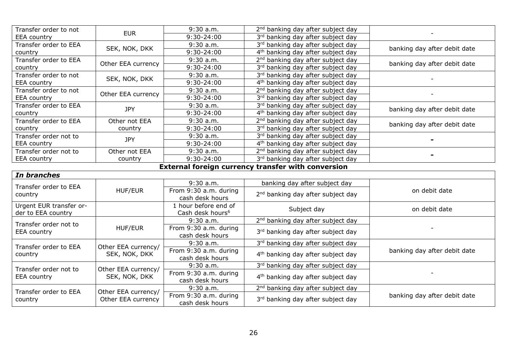| Transfer order to not | <b>EUR</b>         | $9:30$ a.m.    | 2 <sup>nd</sup> banking day after subject day |                              |
|-----------------------|--------------------|----------------|-----------------------------------------------|------------------------------|
| <b>EEA</b> country    |                    | $9:30 - 24:00$ | 3rd banking day after subject day             |                              |
| Transfer order to EEA | SEK, NOK, DKK      | $9:30$ a.m.    | 3rd banking day after subject day             | banking day after debit date |
| country               |                    | 9:30-24:00     | 4 <sup>th</sup> banking day after subject day |                              |
| Transfer order to EEA | Other EEA currency | $9:30$ a.m.    | 2 <sup>nd</sup> banking day after subject day | banking day after debit date |
| country               |                    | 9:30-24:00     | 3rd banking day after subject day             |                              |
| Transfer order to not | SEK, NOK, DKK      | $9:30$ a.m.    | 3rd banking day after subject day             |                              |
| <b>EEA</b> country    |                    | 9:30-24:00     | 4 <sup>th</sup> banking day after subject day |                              |
| Transfer order to not | Other EEA currency | $9:30$ a.m.    | 2 <sup>nd</sup> banking day after subject day |                              |
| <b>EEA</b> country    |                    | $9:30-24:00$   | 3rd banking day after subject day             |                              |
| Transfer order to EEA | <b>JPY</b>         | $9:30$ a.m.    | 3rd banking day after subject day             | banking day after debit date |
| country               |                    | $9:30 - 24:00$ | 4 <sup>th</sup> banking day after subject day |                              |
| Transfer order to EEA | Other not EEA      | $9:30$ a.m.    | 2 <sup>nd</sup> banking day after subject day | banking day after debit date |
| country               | country            | $9:30-24:00$   | 3rd banking day after subject day             |                              |
| Transfer order not to | <b>JPY</b>         | $9:30$ a.m.    | 3rd banking day after subject day             |                              |
| <b>EEA</b> country    |                    | 9:30-24:00     | 4 <sup>th</sup> banking day after subject day |                              |
| Transfer order not to | Other not EEA      | $9:30$ a.m.    | 2 <sup>nd</sup> banking day after subject day |                              |
| <b>EEA</b> country    | country            | 9:30-24:00     | 3rd banking day after subject day             |                              |

#### **External foreign currency transfer with conversion**

 $\mathbf{r}$ 

| In branches                                   |                                      |                                                      |                                               |                              |
|-----------------------------------------------|--------------------------------------|------------------------------------------------------|-----------------------------------------------|------------------------------|
| Transfer order to EEA                         |                                      | $9:30$ a.m.                                          | banking day after subject day                 |                              |
| country                                       | <b>HUF/EUR</b>                       | From 9:30 a.m. during<br>cash desk hours             | 2 <sup>nd</sup> banking day after subject day | on debit date                |
| Urgent EUR transfer or-<br>der to EEA country |                                      | 1 hour before end of<br>Cash desk hours <sup>6</sup> | Subject day                                   | on debit date                |
| Transfer order not to                         |                                      | $9:30$ a.m.                                          | 2 <sup>nd</sup> banking day after subject day |                              |
| <b>EEA</b> country                            | <b>HUF/EUR</b>                       | From 9:30 a.m. during<br>cash desk hours             | 3rd banking day after subject day             |                              |
| Transfer order to EEA                         | Other EEA currency/<br>SEK, NOK, DKK | $9:30$ a.m.                                          | 3rd banking day after subject day             |                              |
| country                                       |                                      | From 9:30 a.m. during<br>cash desk hours             | 4 <sup>th</sup> banking day after subject day | banking day after debit date |
| Transfer order not to                         | Other EEA currency/                  | $9:30$ a.m.                                          | 3rd banking day after subject day             |                              |
| <b>EEA</b> country                            | SEK, NOK, DKK                        | From 9:30 a.m. during<br>cash desk hours             | 4 <sup>th</sup> banking day after subject day |                              |
| Transfer order to EEA                         | Other EEA currency/                  | $9:30$ a.m.                                          | 2 <sup>nd</sup> banking day after subject day |                              |
| country                                       | Other EEA currency                   | From 9:30 a.m. during<br>cash desk hours             | 3rd banking day after subject day             | banking day after debit date |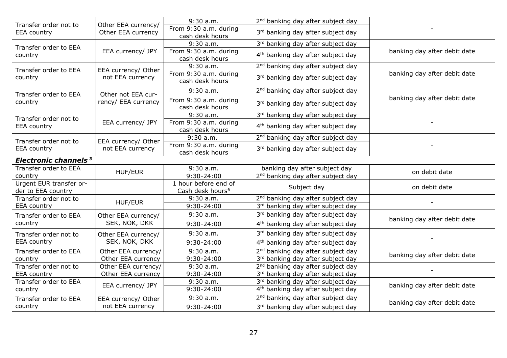| Transfer order not to                         | Other EEA currency/ | $9:30$ a.m.                                          | 2 <sup>nd</sup> banking day after subject day |                              |
|-----------------------------------------------|---------------------|------------------------------------------------------|-----------------------------------------------|------------------------------|
| <b>EEA</b> country                            | Other EEA currency  | From 9:30 a.m. during<br>cash desk hours             | 3rd banking day after subject day             |                              |
| Transfer order to EEA                         |                     | $9:30$ a.m.                                          | 3rd banking day after subject day             |                              |
| country                                       | EEA currency/ JPY   | From 9:30 a.m. during<br>cash desk hours             | 4 <sup>th</sup> banking day after subject day | banking day after debit date |
| Transfer order to EEA                         | EEA currency/ Other | 9:30a.m.                                             | 2 <sup>nd</sup> banking day after subject day |                              |
| country                                       | not EEA currency    | From 9:30 a.m. during<br>cash desk hours             | 3rd banking day after subject day             | banking day after debit date |
| Transfer order to EEA                         | Other not EEA cur-  | $9:30$ a.m.                                          | 2 <sup>nd</sup> banking day after subject day |                              |
| country                                       | rency/ EEA currency | From 9:30 a.m. during<br>cash desk hours             | 3rd banking day after subject day             | banking day after debit date |
| Transfer order not to                         |                     | $9:30$ a.m.                                          | 3rd banking day after subject day             |                              |
| <b>EEA</b> country                            | EEA currency/ JPY   | From 9:30 a.m. during<br>cash desk hours             | 4 <sup>th</sup> banking day after subject day |                              |
| Transfer order not to                         | EEA currency/ Other | $9:30$ a.m.                                          | 2 <sup>nd</sup> banking day after subject day |                              |
| <b>EEA</b> country                            | not EEA currency    | From 9:30 a.m. during<br>cash desk hours             | 3rd banking day after subject day             |                              |
| Electronic channels <sup>3</sup>              |                     |                                                      |                                               |                              |
| Transfer order to EEA                         | HUF/EUR             | $9:30$ a.m.                                          | banking day after subject day                 | on debit date                |
| country                                       |                     | $9:30-24:00$                                         | 2 <sup>nd</sup> banking day after subject day |                              |
| Urgent EUR transfer or-<br>der to EEA country |                     | 1 hour before end of<br>Cash desk hours <sup>6</sup> | Subject day                                   | on debit date                |
| Transfer order not to                         | HUF/EUR             | $9:30$ a.m.                                          | 2 <sup>nd</sup> banking day after subject day |                              |
| <b>EEA</b> country                            |                     | 9:30-24:00                                           | 3rd banking day after subject day             |                              |
| Transfer order to EEA                         | Other EEA currency/ | $9:30$ a.m.                                          | 3rd banking day after subject day             | banking day after debit date |
| country                                       | SEK, NOK, DKK       | $9:30-24:00$                                         | 4 <sup>th</sup> banking day after subject day |                              |
| Transfer order not to                         | Other EEA currency/ | $9:30$ a.m.                                          | 3rd banking day after subject day             |                              |
| <b>EEA</b> country                            | SEK, NOK, DKK       | $9:30-24:00$                                         | 4 <sup>th</sup> banking day after subject day |                              |
| Transfer order to EEA                         | Other EEA currency/ | $9:30$ a.m.                                          | 2 <sup>nd</sup> banking day after subject day | banking day after debit date |
| country                                       | Other EEA currency  | 9:30-24:00                                           | 3rd banking day after subject day             |                              |
| Transfer order not to                         | Other EEA currency/ | $9:30$ a.m.                                          | 2 <sup>nd</sup> banking day after subject day |                              |
| <b>EEA</b> country                            | Other EEA currency  | 9:30-24:00                                           | 3rd banking day after subject day             |                              |
| Transfer order to EEA                         | EEA currency/ JPY   | 9:30 a.m.                                            | 3rd banking day after subject day             | banking day after debit date |
| country                                       |                     | 9:30-24:00                                           | 4 <sup>th</sup> banking day after subject day |                              |
| Transfer order to EEA                         | EEA currency/ Other | $9:30$ a.m.                                          | 2 <sup>nd</sup> banking day after subject day | banking day after debit date |
| country                                       | not EEA currency    | 9:30-24:00                                           | 3rd banking day after subject day             |                              |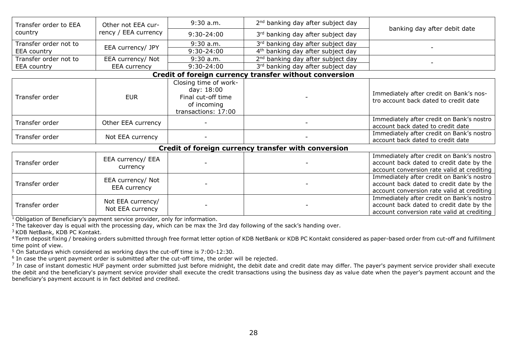| Transfer order to EEA<br>country                       | Other not EEA cur-<br>rency / EEA currency | $9:30$ a.m.                                                                                     | 2 <sup>nd</sup> banking day after subject day | banking day after debit date                                                                                                        |
|--------------------------------------------------------|--------------------------------------------|-------------------------------------------------------------------------------------------------|-----------------------------------------------|-------------------------------------------------------------------------------------------------------------------------------------|
|                                                        |                                            | 9:30-24:00                                                                                      | 3rd banking day after subject day             |                                                                                                                                     |
| Transfer order not to<br><b>EEA</b> country            | EEA currency/ JPY                          | $9:30$ a.m.                                                                                     | 3rd banking day after subject day             |                                                                                                                                     |
|                                                        |                                            | 9:30-24:00                                                                                      | 4 <sup>th</sup> banking day after subject day |                                                                                                                                     |
| Transfer order not to                                  | EEA currency/ Not                          | $9:30$ a.m.                                                                                     | 2 <sup>nd</sup> banking day after subject day |                                                                                                                                     |
| <b>EEA</b> country                                     | EEA currency                               | 9:30-24:00                                                                                      | 3rd banking day after subject day             |                                                                                                                                     |
| Credit of foreign currency transfer without conversion |                                            |                                                                                                 |                                               |                                                                                                                                     |
| Transfer order                                         | <b>EUR</b>                                 | Closing time of work-<br>day: 18:00<br>Final cut-off time<br>of incoming<br>transactions: 17:00 |                                               | Immediately after credit on Bank's nos-<br>tro account back dated to credit date                                                    |
| Transfer order                                         | Other EEA currency                         |                                                                                                 |                                               | Immediately after credit on Bank's nostro<br>account back dated to credit date                                                      |
| Transfer order                                         | Not EEA currency                           |                                                                                                 |                                               | Immediately after credit on Bank's nostro<br>account back dated to credit date                                                      |
| Credit of foreign currency transfer with conversion    |                                            |                                                                                                 |                                               |                                                                                                                                     |
| Transfer order                                         | EEA currency/ EEA<br>currency              |                                                                                                 |                                               | Immediately after credit on Bank's nostro<br>account back dated to credit date by the<br>account conversion rate valid at crediting |
| Transfer order                                         | EEA currency/ Not<br>EEA currency          |                                                                                                 |                                               | Immediately after credit on Bank's nostro<br>account back dated to credit date by the<br>account conversion rate valid at crediting |
| Transfer order                                         | Not EEA currency/<br>Not EEA currency      |                                                                                                 |                                               | Immediately after credit on Bank's nostro<br>account back dated to credit date by the<br>account conversion rate valid at crediting |

<sup>1</sup> Obligation of Beneficiary's payment service provider, only for information.

<sup>2</sup> The takeover day is equal with the processing day, which can be max the 3rd day following of the sack's handing over.

<sup>3</sup> KDB NetBank, KDB PC Kontakt.

<sup>4</sup>Term deposit fixing / breaking orders submitted through free format letter option of KDB NetBank or KDB PC Kontakt considered as paper-based order from cut-off and fulfillment time point of view.

<sup>5</sup> On Saturdays which considered as working days the cut-off time is 7:00-12:30.

<sup>6</sup> In case the urgent payment order is submitted after the cut-off time, the order will be rejected.

 $^7$  In case of instant domestic HUF payment order submitted just before midnight, the debit date and credit date may differ. The payer's payment service provider shall execute the debit and the beneficiary's payment service provider shall execute the credit transactions using the business day as value date when the payer's payment account and the beneficiary's payment account is in fact debited and credited.